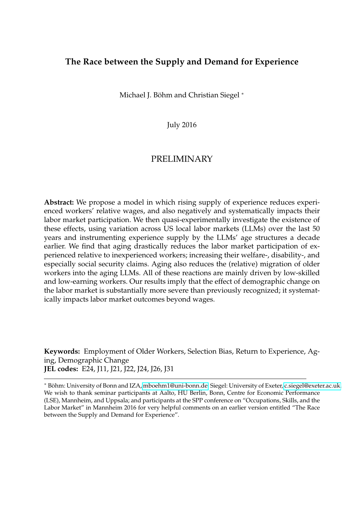#### **The Race between the Supply and Demand for Experience**

Michael J. Böhm and Christian Siegel <sup>∗</sup>

July 2016

#### PRELIMINARY

**Abstract:** We propose a model in which rising supply of experience reduces experienced workers' relative wages, and also negatively and systematically impacts their labor market participation. We then quasi-experimentally investigate the existence of these effects, using variation across US local labor markets (LLMs) over the last 50 years and instrumenting experience supply by the LLMs' age structures a decade earlier. We find that aging drastically reduces the labor market participation of experienced relative to inexperienced workers; increasing their welfare-, disability-, and especially social security claims. Aging also reduces the (relative) migration of older workers into the aging LLMs. All of these reactions are mainly driven by low-skilled and low-earning workers. Our results imply that the effect of demographic change on the labor market is substantially more severe than previously recognized; it systematically impacts labor market outcomes beyond wages.

**Keywords:** Employment of Older Workers, Selection Bias, Return to Experience, Aging, Demographic Change **JEL codes:** E24, J11, J21, J22, J24, J26, J31

<sup>∗</sup> Böhm: University of Bonn and IZA, [mboehm1@uni-bonn.de.](mailto:mboehm1@uni-bonn.de) Siegel: University of Exeter, [c.siegel@exeter.ac.uk.](mailto:c.siegel@exeter.ac.uk) We wish to thank seminar participants at Aalto, HU Berlin, Bonn, Centre for Economic Performance (LSE), Mannheim, and Uppsala; and participants at the SPP conference on "Occupations, Skills, and the Labor Market" in Mannheim 2016 for very helpful comments on an earlier version entitled "The Race between the Supply and Demand for Experience".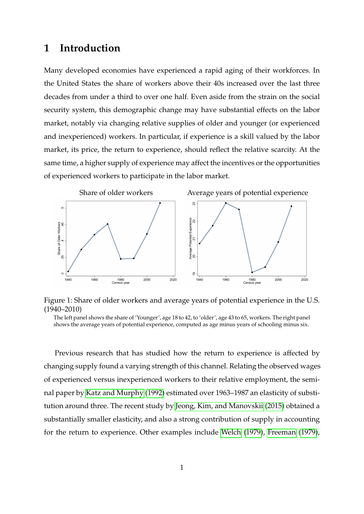### **1 Introduction**

Many developed economies have experienced a rapid aging of their workforces. In the United States the share of workers above their 40s increased over the last three decades from under a third to over one half. Even aside from the strain on the social security system, this demographic change may have substantial effects on the labor market, notably via changing relative supplies of older and younger (or experienced and inexperienced) workers. In particular, if experience is a skill valued by the labor market, its price, the return to experience, should reflect the relative scarcity. At the same time, a higher supply of experience may affect the incentives or the opportunities of experienced workers to participate in the labor market.



Figure 1: Share of older workers and average years of potential experience in the U.S. (1940–2010)

The left panel shows the share of 'Younger', age 18 to 42, to 'older', age 43 to 65, workers. The right panel shows the average years of potential experience, computed as age minus years of schooling minus six.

Previous research that has studied how the return to experience is affected by changing supply found a varying strength of this channel. Relating the observed wages of experienced versus inexperienced workers to their relative employment, the seminal paper by [Katz and Murphy](#page-39-0) [\(1992\)](#page-39-0) estimated over 1963–1987 an elasticity of substitution around three. The recent study by [Jeong, Kim, and Manovskii](#page-39-1) [\(2015\)](#page-39-1) obtained a substantially smaller elasticity, and also a strong contribution of supply in accounting for the return to experience. Other examples include [Welch](#page-40-0) [\(1979\)](#page-40-0), [Freeman](#page-39-2) [\(1979\)](#page-39-2),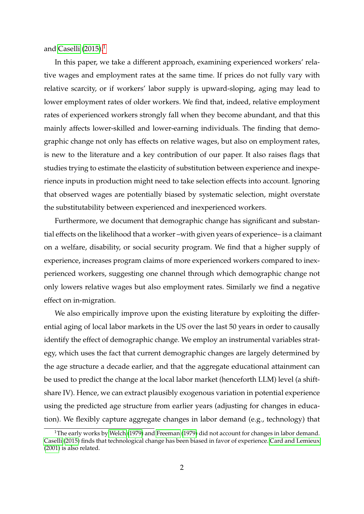and [Caselli](#page-39-3)  $(2015).<sup>1</sup>$  $(2015).<sup>1</sup>$  $(2015).<sup>1</sup>$  $(2015).<sup>1</sup>$ 

In this paper, we take a different approach, examining experienced workers' relative wages and employment rates at the same time. If prices do not fully vary with relative scarcity, or if workers' labor supply is upward-sloping, aging may lead to lower employment rates of older workers. We find that, indeed, relative employment rates of experienced workers strongly fall when they become abundant, and that this mainly affects lower-skilled and lower-earning individuals. The finding that demographic change not only has effects on relative wages, but also on employment rates, is new to the literature and a key contribution of our paper. It also raises flags that studies trying to estimate the elasticity of substitution between experience and inexperience inputs in production might need to take selection effects into account. Ignoring that observed wages are potentially biased by systematic selection, might overstate the substitutability between experienced and inexperienced workers.

Furthermore, we document that demographic change has significant and substantial effects on the likelihood that a worker –with given years of experience– is a claimant on a welfare, disability, or social security program. We find that a higher supply of experience, increases program claims of more experienced workers compared to inexperienced workers, suggesting one channel through which demographic change not only lowers relative wages but also employment rates. Similarly we find a negative effect on in-migration.

We also empirically improve upon the existing literature by exploiting the differential aging of local labor markets in the US over the last 50 years in order to causally identify the effect of demographic change. We employ an instrumental variables strategy, which uses the fact that current demographic changes are largely determined by the age structure a decade earlier, and that the aggregate educational attainment can be used to predict the change at the local labor market (henceforth LLM) level (a shiftshare IV). Hence, we can extract plausibly exogenous variation in potential experience using the predicted age structure from earlier years (adjusting for changes in education). We flexibly capture aggregate changes in labor demand (e.g., technology) that

<span id="page-2-0"></span><sup>&</sup>lt;sup>1</sup>The early works by [Welch](#page-40-0) [\(1979\)](#page-39-2) and [Freeman](#page-39-2) (1979) did not account for changes in labor demand. [Caselli](#page-39-3) [\(2015\)](#page-39-3) finds that technological change has been biased in favor of experience. [Card and Lemieux](#page-39-4) [\(2001\)](#page-39-4) is also related.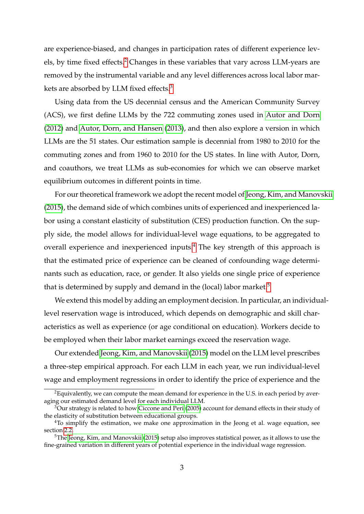are experience-biased, and changes in participation rates of different experience lev-els, by time fixed effects.<sup>[2](#page-3-0)</sup> Changes in these variables that vary across LLM-years are removed by the instrumental variable and any level differences across local labor markets are absorbed by LLM fixed effects.[3](#page-3-1)

Using data from the US decennial census and the American Community Survey (ACS), we first define LLMs by the 722 commuting zones used in [Autor and Dorn](#page-38-0) [\(2012\)](#page-38-0) and [Autor, Dorn, and Hansen](#page-38-1) [\(2013\)](#page-38-1), and then also explore a version in which LLMs are the 51 states. Our estimation sample is decennial from 1980 to 2010 for the commuting zones and from 1960 to 2010 for the US states. In line with Autor, Dorn, and coauthors, we treat LLMs as sub-economies for which we can observe market equilibrium outcomes in different points in time.

For our theoretical framework we adopt the recent model of [Jeong, Kim, and Manovskii](#page-39-1) [\(2015\)](#page-39-1), the demand side of which combines units of experienced and inexperienced labor using a constant elasticity of substitution (CES) production function. On the supply side, the model allows for individual-level wage equations, to be aggregated to overall experience and inexperienced inputs.[4](#page-3-2) The key strength of this approach is that the estimated price of experience can be cleaned of confounding wage determinants such as education, race, or gender. It also yields one single price of experience that is determined by supply and demand in the (local) labor market.<sup>[5](#page-3-3)</sup>

We extend this model by adding an employment decision. In particular, an individuallevel reservation wage is introduced, which depends on demographic and skill characteristics as well as experience (or age conditional on education). Workers decide to be employed when their labor market earnings exceed the reservation wage.

Our extended [Jeong, Kim, and Manovskii](#page-39-1) [\(2015\)](#page-39-1) model on the LLM level prescribes a three-step empirical approach. For each LLM in each year, we run individual-level wage and employment regressions in order to identify the price of experience and the

<span id="page-3-0"></span> ${}^{2}$ Equivalently, we can compute the mean demand for experience in the U.S. in each period by averaging our estimated demand level for each individual LLM.

<span id="page-3-1"></span> $3$ Our strategy is related to how [Ciccone and Peri](#page-39-5) [\(2005\)](#page-39-5) account for demand effects in their study of the elasticity of substitution between educational groups.

<span id="page-3-2"></span><sup>&</sup>lt;sup>4</sup>To simplify the estimation, we make one approximation in the Jeong et al. wage equation, see section [2.2.](#page-7-0)

<span id="page-3-3"></span><sup>&</sup>lt;sup>5</sup>The [Jeong, Kim, and Manovskii](#page-39-1) [\(2015\)](#page-39-1) setup also improves statistical power, as it allows to use the fine-grained variation in different years of potential experience in the individual wage regression.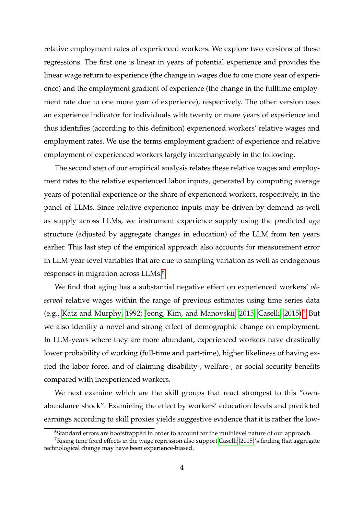relative employment rates of experienced workers. We explore two versions of these regressions. The first one is linear in years of potential experience and provides the linear wage return to experience (the change in wages due to one more year of experience) and the employment gradient of experience (the change in the fulltime employment rate due to one more year of experience), respectively. The other version uses an experience indicator for individuals with twenty or more years of experience and thus identifies (according to this definition) experienced workers' relative wages and employment rates. We use the terms employment gradient of experience and relative employment of experienced workers largely interchangeably in the following.

The second step of our empirical analysis relates these relative wages and employment rates to the relative experienced labor inputs, generated by computing average years of potential experience or the share of experienced workers, respectively, in the panel of LLMs. Since relative experience inputs may be driven by demand as well as supply across LLMs, we instrument experience supply using the predicted age structure (adjusted by aggregate changes in education) of the LLM from ten years earlier. This last step of the empirical approach also accounts for measurement error in LLM-year-level variables that are due to sampling variation as well as endogenous responses in migration across LLMs.<sup>[6](#page-4-0)</sup>

We find that aging has a substantial negative effect on experienced workers' *observed* relative wages within the range of previous estimates using time series data (e.g., [Katz and Murphy, 1992;](#page-39-0) [Jeong, Kim, and Manovskii, 2015;](#page-39-1) [Caselli, 2015\)](#page-39-3).[7](#page-4-1) But we also identify a novel and strong effect of demographic change on employment. In LLM-years where they are more abundant, experienced workers have drastically lower probability of working (full-time and part-time), higher likeliness of having exited the labor force, and of claiming disability-, welfare-, or social security benefits compared with inexperienced workers.

We next examine which are the skill groups that react strongest to this "ownabundance shock". Examining the effect by workers' education levels and predicted earnings according to skill proxies yields suggestive evidence that it is rather the low-

<span id="page-4-1"></span><span id="page-4-0"></span><sup>&</sup>lt;sup>6</sup>Standard errors are bootstrapped in order to account for the multilevel nature of our approach.

<sup>&</sup>lt;sup>7</sup>Rising time fixed effects in the wage regression also support [Caselli](#page-39-3) [\(2015\)](#page-39-3)'s finding that aggregate technological change may have been experience-biased.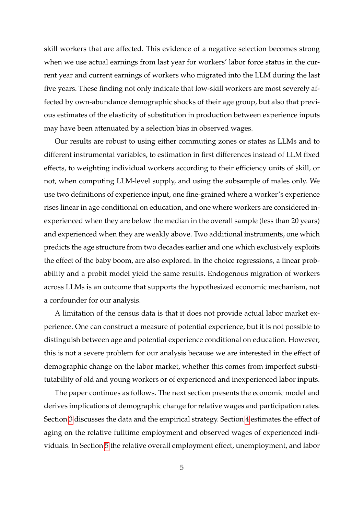skill workers that are affected. This evidence of a negative selection becomes strong when we use actual earnings from last year for workers' labor force status in the current year and current earnings of workers who migrated into the LLM during the last five years. These finding not only indicate that low-skill workers are most severely affected by own-abundance demographic shocks of their age group, but also that previous estimates of the elasticity of substitution in production between experience inputs may have been attenuated by a selection bias in observed wages.

Our results are robust to using either commuting zones or states as LLMs and to different instrumental variables, to estimation in first differences instead of LLM fixed effects, to weighting individual workers according to their efficiency units of skill, or not, when computing LLM-level supply, and using the subsample of males only. We use two definitions of experience input, one fine-grained where a worker's experience rises linear in age conditional on education, and one where workers are considered inexperienced when they are below the median in the overall sample (less than 20 years) and experienced when they are weakly above. Two additional instruments, one which predicts the age structure from two decades earlier and one which exclusively exploits the effect of the baby boom, are also explored. In the choice regressions, a linear probability and a probit model yield the same results. Endogenous migration of workers across LLMs is an outcome that supports the hypothesized economic mechanism, not a confounder for our analysis.

A limitation of the census data is that it does not provide actual labor market experience. One can construct a measure of potential experience, but it is not possible to distinguish between age and potential experience conditional on education. However, this is not a severe problem for our analysis because we are interested in the effect of demographic change on the labor market, whether this comes from imperfect substitutability of old and young workers or of experienced and inexperienced labor inputs.

The paper continues as follows. The next section presents the economic model and derives implications of demographic change for relative wages and participation rates. Section [3](#page-14-0) discusses the data and the empirical strategy. Section [4](#page-21-0) estimates the effect of aging on the relative fulltime employment and observed wages of experienced individuals. In Section [5](#page-28-0) the relative overall employment effect, unemployment, and labor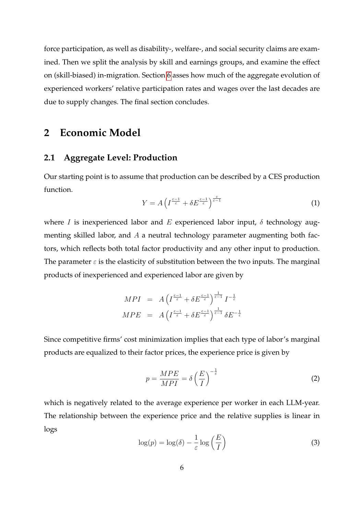force participation, as well as disability-, welfare-, and social security claims are examined. Then we split the analysis by skill and earnings groups, and examine the effect on (skill-biased) in-migration. Section [6](#page-33-0) asses how much of the aggregate evolution of experienced workers' relative participation rates and wages over the last decades are due to supply changes. The final section concludes.

## <span id="page-6-1"></span>**2 Economic Model**

#### <span id="page-6-2"></span>**2.1 Aggregate Level: Production**

Our starting point is to assume that production can be described by a CES production function.

$$
Y = A \left( I^{\frac{\varepsilon - 1}{\varepsilon}} + \delta E^{\frac{\varepsilon - 1}{\varepsilon}} \right)^{\frac{\varepsilon}{\varepsilon - 1}} \tag{1}
$$

where *I* is inexperienced labor and *E* experienced labor input, *δ* technology augmenting skilled labor, and *A* a neutral technology parameter augmenting both factors, which reflects both total factor productivity and any other input to production. The parameter  $\varepsilon$  is the elasticity of substitution between the two inputs. The marginal products of inexperienced and experienced labor are given by

$$
MPI = A \left( I^{\frac{\varepsilon - 1}{\varepsilon}} + \delta E^{\frac{\varepsilon - 1}{\varepsilon}} \right)^{\frac{1}{\varepsilon - 1}} I^{-\frac{1}{\varepsilon}}
$$
  

$$
MPE = A \left( I^{\frac{\varepsilon - 1}{\varepsilon}} + \delta E^{\frac{\varepsilon - 1}{\varepsilon}} \right)^{\frac{1}{\varepsilon - 1}} \delta E^{-\frac{1}{\varepsilon}}
$$

Since competitive firms' cost minimization implies that each type of labor's marginal products are equalized to their factor prices, the experience price is given by

$$
p = \frac{MPE}{MPI} = \delta \left(\frac{E}{I}\right)^{-\frac{1}{\varepsilon}}\tag{2}
$$

which is negatively related to the average experience per worker in each LLM-year. The relationship between the experience price and the relative supplies is linear in logs

<span id="page-6-0"></span>
$$
\log(p) = \log(\delta) - \frac{1}{\varepsilon} \log\left(\frac{E}{I}\right)
$$
 (3)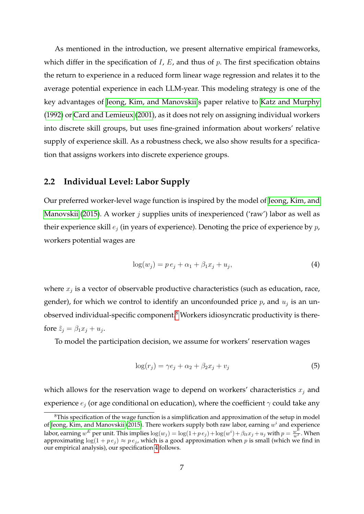As mentioned in the introduction, we present alternative empirical frameworks, which differ in the specification of *I*, *E*, and thus of *p*. The first specification obtains the return to experience in a reduced form linear wage regression and relates it to the average potential experience in each LLM-year. This modeling strategy is one of the key advantages of [Jeong, Kim, and Manovskii'](#page-39-1)s paper relative to [Katz and Murphy](#page-39-0) [\(1992\)](#page-39-0) or [Card and Lemieux](#page-39-4) [\(2001\)](#page-39-4), as it does not rely on assigning individual workers into discrete skill groups, but uses fine-grained information about workers' relative supply of experience skill. As a robustness check, we also show results for a specification that assigns workers into discrete experience groups.

#### <span id="page-7-0"></span>**2.2 Individual Level: Labor Supply**

Our preferred worker-level wage function is inspired by the model of [Jeong, Kim, and](#page-39-1) [Manovskii](#page-39-1) [\(2015\)](#page-39-1). A worker *j* supplies units of inexperienced ('raw') labor as well as their experience skill *e<sup>j</sup>* (in years of experience). Denoting the price of experience by *p*, workers potential wages are

<span id="page-7-2"></span>
$$
\log(w_j) = p e_j + \alpha_1 + \beta_1 x_j + u_j,\tag{4}
$$

where *x<sup>j</sup>* is a vector of observable productive characteristics (such as education, race, gender), for which we control to identify an unconfounded price *p*, and *u<sup>j</sup>* is an unobserved individual-specific component.[8](#page-7-1) Workers idiosyncratic productivity is therefore  $\tilde{z}_j = \beta_1 x_j + u_j$ .

To model the participation decision, we assume for workers' reservation wages

<span id="page-7-3"></span>
$$
\log(r_j) = \gamma e_j + \alpha_2 + \beta_2 x_j + v_j \tag{5}
$$

which allows for the reservation wage to depend on workers' characteristics  $x_j$  and experience *e<sup>j</sup>* (or age conditional on education), where the coefficient *γ* could take any

<span id="page-7-1"></span> ${}^{8}$ This specification of the wage function is a simplification and approximation of the setup in model of [Jeong, Kim, and Manovskii](#page-39-1) [\(2015\)](#page-39-1). There workers supply both raw labor, earning *w <sup>i</sup>* and experience labor, earning  $w^E$  per unit. This implies  $\log(w_j) = \log(1 + pe_j) + \log(w^i) + \beta_{lt}x_j + u_j$  with  $p = \frac{w^E}{w^I}$ . When approximating  $log(1 + pe_j) \approx pe_j$ , which is a good approximation when *p* is small (which we find in our empirical analysis), our specification [4](#page-7-2) follows.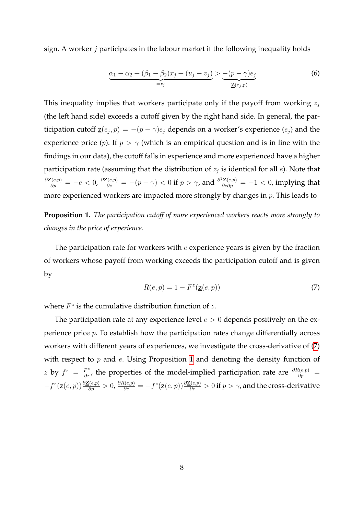sign. A worker *j* participates in the labour market if the following inequality holds

<span id="page-8-2"></span>
$$
\underbrace{\alpha_1 - \alpha_2 + (\beta_1 - \beta_2)x_j + (u_j - v_j)}_{=z_j} > \underbrace{-(p - \gamma)e_j}_{\underline{z}(e_j, p)} \tag{6}
$$

This inequality implies that workers participate only if the payoff from working *z<sup>j</sup>* (the left hand side) exceeds a cutoff given by the right hand side. In general, the participation cutoff  $\underline{z}(e_j, p) = -(p - \gamma)e_j$  depends on a worker's experience  $(e_j)$  and the experience price (*p*). If  $p > \gamma$  (which is an empirical question and is in line with the findings in our data), the cutoff falls in experience and more experienced have a higher participation rate (assuming that the distribution of *z<sup>j</sup>* is identical for all *e*). Note that  $\frac{\partial \underline{Z}(e,p)}{\partial p} = -e < 0$ ,  $\frac{\partial \underline{Z}(e,p)}{\partial e} = -(p-\gamma) < 0$  if  $p > \gamma$ , and  $\frac{\partial^2 \underline{Z}(e,p)}{\partial e \partial p} = -1 < 0$ , implying that more experienced workers are impacted more strongly by changes in *p*. This leads to

<span id="page-8-1"></span>**Proposition 1.** *The participation cutoff of more experienced workers reacts more strongly to changes in the price of experience.*

The participation rate for workers with *e* experience years is given by the fraction of workers whose payoff from working exceeds the participation cutoff and is given by

<span id="page-8-0"></span>
$$
R(e, p) = 1 - Fz(\mathbf{z}(e, p))
$$
\n<sup>(7)</sup>

where  $F^z$  is the cumulative distribution function of  $z$ .

The participation rate at any experience level  $e > 0$  depends positively on the experience price *p*. To establish how the participation rates change differentially across workers with different years of experiences, we investigate the cross-derivative of [\(7\)](#page-8-0) with respect to *p* and *e*. Using Proposition [1](#page-8-1) and denoting the density function of *z* by  $f^z = \frac{F^z}{\partial z}$ , the properties of the model-implied participation rate are  $\frac{\partial R(e,p)}{\partial p}$  $-f^{z}(\underline{z}(e,p))\frac{\partial \underline{z}(e,p)}{\partial p}>0$ ,  $\frac{\partial R(e,p)}{\partial e}=-f^{z}(\underline{z}(e,p))\frac{\partial \underline{z}(e,p)}{\partial e}>0$  if  $p>\gamma$ , and the cross-derivative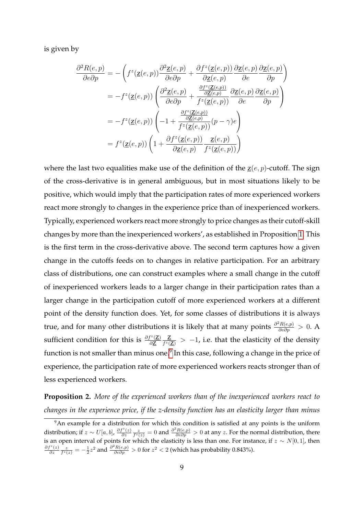is given by

$$
\frac{\partial^2 R(e, p)}{\partial e \partial p} = -\left( f^z(\underline{z}(e, p)) \frac{\partial^2 \underline{z}(e, p)}{\partial e \partial p} + \frac{\partial f^z(\underline{z}(e, p))}{\partial \underline{z}(e, p)} \frac{\partial \underline{z}(e, p)}{\partial e} \frac{\partial \underline{z}(e, p)}{\partial p} \right)
$$

$$
= -f^z(\underline{z}(e, p)) \left( \frac{\partial^2 \underline{z}(e, p)}{\partial e \partial p} + \frac{\frac{\partial f^z(\underline{z}(e, p))}{\partial \underline{z}(e, p)}}{f^z(\underline{z}(e, p))} \frac{\partial \underline{z}(e, p)}{\partial e} \frac{\partial \underline{z}(e, p)}{\partial p} \right)
$$

$$
= -f^z(\underline{z}(e, p)) \left( -1 + \frac{\frac{\partial f^z(\underline{z}(e, p))}{\partial \underline{z}(e, p)}}{f^z(\underline{z}(e, p))} (p - \gamma)e \right)
$$

$$
= f^z(\underline{z}(e, p)) \left( 1 + \frac{\partial f^z(\underline{z}(e, p))}{\partial \underline{z}(e, p)} \frac{\underline{z}(e, p)}{f^z(\underline{z}(e, p))} \right)
$$

where the last two equalities make use of the definition of the  $\underline{z}(e, p)$ -cutoff. The sign of the cross-derivative is in general ambiguous, but in most situations likely to be positive, which would imply that the participation rates of more experienced workers react more strongly to changes in the experience price than of inexperienced workers. Typically, experienced workers react more strongly to price changes as their cutoff-skill changes by more than the inexperienced workers', as established in Proposition [1.](#page-8-1) This is the first term in the cross-derivative above. The second term captures how a given change in the cutoffs feeds on to changes in relative participation. For an arbitrary class of distributions, one can construct examples where a small change in the cutoff of inexperienced workers leads to a larger change in their participation rates than a larger change in the participation cutoff of more experienced workers at a different point of the density function does. Yet, for some classes of distributions it is always true, and for many other distributions it is likely that at many points  $\frac{\partial^2 R(e,p)}{\partial e \partial p} > 0$ . A sufficient condition for this is  $\frac{\partial f^z(\mathbf{Z})}{\partial \mathbf{Z}}$ *∂*z z  $\frac{Z}{f^z(Z)}$  *>* -1, i.e. that the elasticity of the density function is not smaller than minus one.<sup>[9](#page-9-0)</sup> In this case, following a change in the price of experience, the participation rate of more experienced workers reacts stronger than of less experienced workers.

<span id="page-9-1"></span>**Proposition 2.** *More of the experienced workers than of the inexperienced workers react to changes in the experience price, if the z-density function has an elasticity larger than minus*

<span id="page-9-0"></span><sup>&</sup>lt;sup>9</sup>An example for a distribution for which this condition is satisfied at any points is the uniform distribution; if  $z \sim U[a, b]$ ,  $\frac{\partial f^z(z)}{\partial z}$  $\frac{f^z(z)}{\partial z} \frac{z}{f^z(z)} = 0$  and  $\frac{\partial^2 R(e,p)}{\partial e \partial p} > 0$  at any *z*. For the normal distribution, there is an open interval of points for which the elasticity is less than one. For instance, if *z* ∼ *N*[0*,* 1], then *∂f<sup>z</sup>* (*z*)  $\frac{z}{\partial z}$   $\frac{z}{f^z(z)}$  = − $\frac{1}{2}z^2$  and  $\frac{\partial^2 R(e,p)}{\partial e \partial p}$  > 0 for  $z^2$  < 2 (which has probability 0.843%).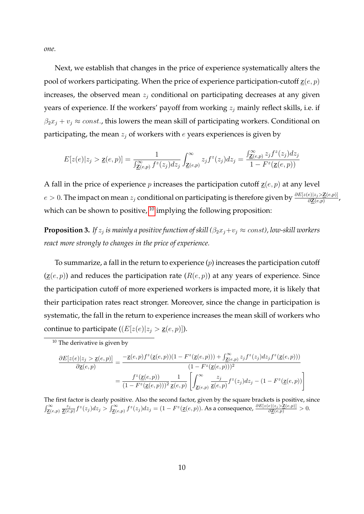*one.*

Next, we establish that changes in the price of experience systematically alters the pool of workers participating. When the price of experience participation-cutoff  $\underline{z}(e, p)$ increases, the observed mean *z<sup>j</sup>* conditional on participating decreases at any given years of experience. If the workers' payoff from working *z<sup>j</sup>* mainly reflect skills, i.e. if  $\beta_2 x_j + v_j \approx const.$ , this lowers the mean skill of participating workers. Conditional on participating, the mean *z<sup>j</sup>* of workers with *e* years experiences is given by

$$
E[z(e)|z_j\rangle \geq \underline{\mathbf{z}}(e,p)] = \frac{1}{\int_{\underline{\mathbf{Z}}(e,p)}^{\infty} f^z(z_j) dz_j} \int_{\underline{\mathbf{Z}}(e,p)}^{\infty} z_j f^z(z_j) dz_j = \frac{\int_{\underline{\mathbf{Z}}(e,p)}^{\infty} z_j f^z(z_j) dz_j}{1 - F^z(\underline{\mathbf{z}}(e,p))}
$$

A fall in the price of experience *p* increases the participation cutoff  $\underline{z}(e, p)$  at any level *e >* <sup>0</sup>. The impact on mean *<sup>z</sup><sup>j</sup>* conditional on participating is therefore given by *∂E*[*z*(*e*)|*zj<sup>&</sup>gt;*z(*e,p*)] *<sup>∂</sup>*z(*e,p*) , which can be shown to positive, <sup>[10](#page-10-0)</sup> implying the following proposition:

<span id="page-10-1"></span>**Proposition 3.** If  $z_j$  is mainly a positive function of skill ( $\beta_2 x_j + v_j \approx const$ ), low-skill workers *react more strongly to changes in the price of experience.*

To summarize, a fall in the return to experience (*p*) increases the participation cutoff  $(\underline{z}(e, p))$  and reduces the participation rate  $(R(e, p))$  at any years of experience. Since the participation cutoff of more experiened workers is impacted more, it is likely that their participation rates react stronger. Moreover, since the change in participation is systematic, the fall in the return to experience increases the mean skill of workers who continue to participate  $((E[z(e)|z_i > \underline{z}(e, p)]).$ 

$$
\begin{split} \frac{\partial E[z(e)|z_j> \underline{\mathbf{z}}(e,p)]}{\partial \underline{\mathbf{z}}(e,p)}&=\frac{-\underline{\mathbf{z}}(e,p)f^z(\underline{\mathbf{z}}(e,p))(1-F^z(\underline{\mathbf{z}}(e,p)))+\int_{\underline{\mathbf{Z}}(e,p)}^{\infty}z_jf^z(z_j)dz_jf^z(\underline{\mathbf{z}}(e,p)))}{(1-F^z(\underline{\mathbf{z}}(e,p)))^2}\\ &=\frac{f^z(\underline{\mathbf{z}}(e,p))}{(1-F^z(\underline{\mathbf{z}}(e,p)))^2}\frac{1}{\underline{\mathbf{z}}(e,p)}\left[\int_{\underline{\mathbf{Z}}(e,p)}^{\infty}\frac{z_j}{\underline{\mathbf{z}}(e,p)}f^z(z_j)dz_j-(1-F^z(\underline{\mathbf{z}}(e,p))\right] \end{split}
$$

The first factor is clearly positive. Also the second factor, given by the square brackets is positive, since  $\int_{\mathbf{Z}(e,p)}^{\infty} \frac{z_j}{\mathbf{Z}(e,p)} f^z(z_j) dz_j > \int_{\mathbf{Z}(e,p)}^{\infty} f^z(z_j) dz_j = (1 - F^z(\mathbf{Z}(e,p)).$  As a consequence,  $\frac{\partial E[z(e)|z_j > \mathbf{Z}(e,p)]}{\partial \mathbf{Z}(e,p)} > 0.$ 

<span id="page-10-0"></span><sup>&</sup>lt;sup>10</sup> The derivative is given by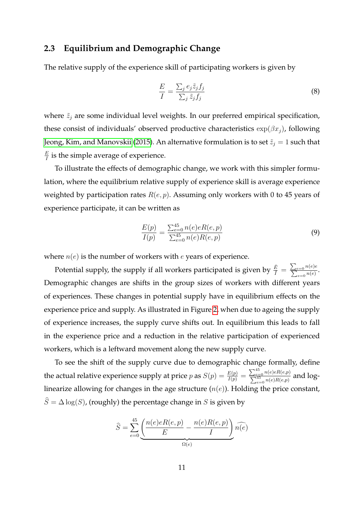#### <span id="page-11-1"></span>**2.3 Equilibrium and Demographic Change**

The relative supply of the experience skill of participating workers is given by

$$
\frac{E}{I} = \frac{\sum_{j} e_{j} \tilde{z}_{j} f_{j}}{\sum_{j} \tilde{z}_{j} f_{j}}
$$
\n(8)

where  $\tilde{z}_j$  are some individual level weights. In our preferred empirical specification, these consist of individuals' observed productive characteristics  $\exp(\beta x_i)$ , following [Jeong, Kim, and Manovskii](#page-39-1) [\(2015\)](#page-39-1). An alternative formulation is to set  $\tilde{z}_j=1$  such that *E*  $\frac{E}{I}$  is the simple average of experience.

To illustrate the effects of demographic change, we work with this simpler formulation, where the equilibrium relative supply of experience skill is average experience weighted by participation rates *R*(*e, p*). Assuming only workers with 0 to 45 years of experience participate, it can be written as

<span id="page-11-0"></span>
$$
\frac{E(p)}{I(p)} = \frac{\sum_{e=0}^{45} n(e)eR(e, p)}{\sum_{e=0}^{45} n(e)R(e, p)}
$$
(9)

where *n*(*e*) is the number of workers with *e* years of experience.

Potential supply, the supply if all workers participated is given by  $\frac{\tilde{E}}{\tilde{I}} = \frac{\sum_{e=0} n(e)e}{\sum_{e=0} n(e)}$ . Demographic changes are shifts in the group sizes of workers with different years of experiences. These changes in potential supply have in equilibrium effects on the experience price and supply. As illustrated in Figure [2,](#page-12-0) when due to ageing the supply of experience increases, the supply curve shifts out. In equilibrium this leads to fall in the experience price and a reduction in the relative participation of experienced workers, which is a leftward movement along the new supply curve.

To see the shift of the supply curve due to demographic change formally, define the actual relative experience supply at price *p* as  $S(p) = \frac{E(p)}{I(p)} = \frac{\sum_{e=0}^{45} n(e)eR(e,p)}{\sum_{e=0}^{45} n(e)R(e,p)}$  $\frac{\sum_{e=0}^{n} n(e) \epsilon R(e, p)}{\sum_{e=0}^{45} n(e) R(e, p)}$  and loglinearize allowing for changes in the age structure (*n*(*e*)). Holding the price constant,  $\widehat{S} = \Delta \log(S)$ , (roughly) the percentage change in *S* is given by

$$
\widehat{S} = \sum_{e=0}^{45} \underbrace{\left(\frac{n(e)eR(e,p)}{E} - \frac{n(e)R(e,p)}{I}\right)}_{\Omega(e)} \widehat{n(e)}
$$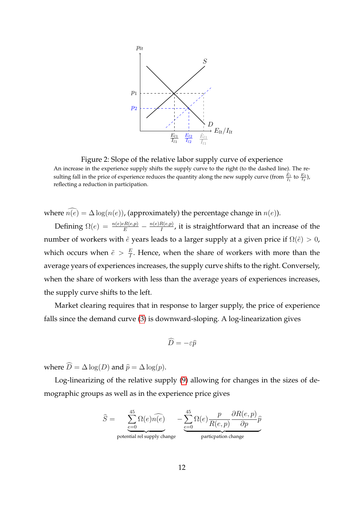

<span id="page-12-0"></span>Figure 2: Slope of the relative labor supply curve of experience An increase in the experience supply shifts the supply curve to the right (to the dashed line). The resulting fall in the price of experience reduces the quantity along the new supply curve (from  $\frac{\tilde{E}_1}{\tilde{I}_1}$  to  $\frac{E_2}{I_2}$ ), reflecting a reduction in participation.

where  $\widehat{n(e)} = \Delta \log(n(e))$ , (approximately) the percentage change in  $n(e)$ ).

Defining  $\Omega(e) = \frac{n(e)eR(e,p)}{E} - \frac{n(e)R(e,p)}{I}$  $\frac{R(e, p)}{I}$ , it is straightforward that an increase of the number of workers with  $\tilde{e}$  years leads to a larger supply at a given price if  $\Omega(\tilde{e}) > 0$ , which occurs when  $\tilde{e} > \frac{E}{l}$  $\frac{E}{I}$ . Hence, when the share of workers with more than the average years of experiences increases, the supply curve shifts to the right. Conversely, when the share of workers with less than the average years of experiences increases, the supply curve shifts to the left.

Market clearing requires that in response to larger supply, the price of experience falls since the demand curve [\(3\)](#page-6-0) is downward-sloping. A log-linearization gives

$$
\widehat{D} = -\varepsilon \widehat{p}
$$

where  $\widehat{D} = \Delta \log(D)$  and  $\widehat{p} = \Delta \log(p)$ .

Log-linearizing of the relative supply [\(9\)](#page-11-0) allowing for changes in the sizes of demographic groups as well as in the experience price gives

$$
\widehat{S} = \underbrace{\sum_{e=0}^{45} \Omega(e) \widehat{n(e)}}_{\text{potential rel supply change}} - \underbrace{\sum_{e=0}^{45} \Omega(e) \frac{p}{R(e, p)} \frac{\partial R(e, p)}{\partial p} \widehat{p}}_{\text{particration change}}
$$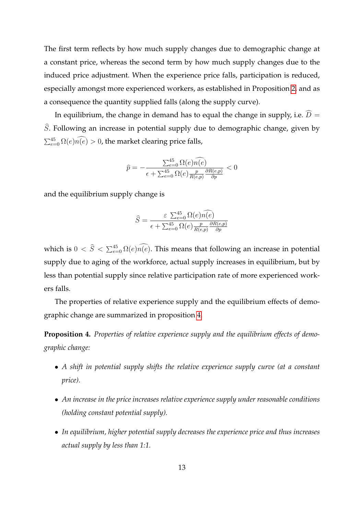The first term reflects by how much supply changes due to demographic change at a constant price, whereas the second term by how much supply changes due to the induced price adjustment. When the experience price falls, participation is reduced, especially amongst more experienced workers, as established in Proposition [2,](#page-9-1) and as a consequence the quantity supplied falls (along the supply curve).

In equilibrium, the change in demand has to equal the change in supply, i.e.  $\widehat{D}$  =  $\hat{S}$ . Following an increase in potential supply due to demographic change, given by  $\sum_{e=0}^{45} \Omega(e) \overline{n}(e) > 0$ , the market clearing price falls,

$$
\widehat{p} = -\frac{\sum_{e=0}^{45} \Omega(e)\widehat{n(e)}}{\epsilon + \sum_{e=0}^{45} \Omega(e)\frac{p}{R(e,p)}\frac{\partial R(e,p)}{\partial p}} < 0
$$

and the equilibrium supply change is

$$
\widehat{S} = \frac{\varepsilon \sum_{e=0}^{45} \Omega(e) \widehat{n(e)}}{\epsilon + \sum_{e=0}^{45} \Omega(e) \frac{p}{R(e,p)} \frac{\partial R(e,p)}{\partial p}}
$$

which is  $0 < \widehat{S} < \sum_{e=0}^{45} \Omega(e) \widehat{n}(e)$ . This means that following an increase in potential supply due to aging of the workforce, actual supply increases in equilibrium, but by less than potential supply since relative participation rate of more experienced workers falls.

The properties of relative experience supply and the equilibrium effects of demographic change are summarized in proposition [4.](#page-13-0)

<span id="page-13-0"></span>**Proposition 4.** *Properties of relative experience supply and the equilibrium effects of demographic change:*

- *A shift in potential supply shifts the relative experience supply curve (at a constant price).*
- *An increase in the price increases relative experience supply under reasonable conditions (holding constant potential supply).*
- *In equilibrium, higher potential supply decreases the experience price and thus increases actual supply by less than 1:1.*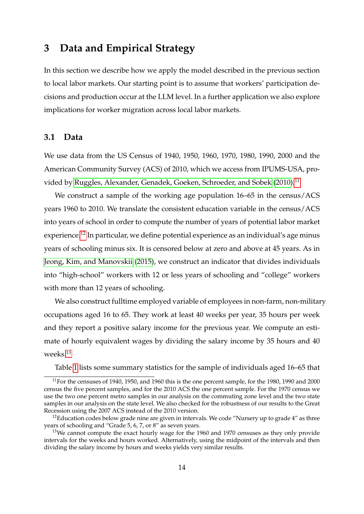## <span id="page-14-0"></span>**3 Data and Empirical Strategy**

In this section we describe how we apply the model described in the previous section to local labor markets. Our starting point is to assume that workers' participation decisions and production occur at the LLM level. In a further application we also explore implications for worker migration across local labor markets.

#### **3.1 Data**

We use data from the US Census of 1940, 1950, 1960, 1970, 1980, 1990, 2000 and the American Community Survey (ACS) of 2010, which we access from IPUMS-USA, pro-vided by [Ruggles, Alexander, Genadek, Goeken, Schroeder, and Sobek](#page-39-6) [\(2010\)](#page-39-6).<sup>[11](#page-14-1)</sup>

We construct a sample of the working age population 16–65 in the census/ACS years 1960 to 2010. We translate the consistent education variable in the census/ACS into years of school in order to compute the number of years of potential labor market experience.<sup>[12](#page-14-2)</sup> In particular, we define potential experience as an individual's age minus years of schooling minus six. It is censored below at zero and above at 45 years. As in [Jeong, Kim, and Manovskii](#page-39-1) [\(2015\)](#page-39-1), we construct an indicator that divides individuals into "high-school" workers with 12 or less years of schooling and "college" workers with more than 12 years of schooling.

We also construct fulltime employed variable of employees in non-farm, non-military occupations aged 16 to 65. They work at least 40 weeks per year, 35 hours per week and they report a positive salary income for the previous year. We compute an estimate of hourly equivalent wages by dividing the salary income by 35 hours and 40 weeks.[13](#page-14-3)

<span id="page-14-1"></span>Table [1](#page-15-0) lists some summary statistics for the sample of individuals aged 16–65 that

 $11$  For the censuses of 1940, 1950, and 1960 this is the one percent sample, for the 1980, 1990 and 2000 census the five percent samples, and for the 2010 ACS the one percent sample. For the 1970 census we use the two one percent metro samples in our analysis on the commuting zone level and the two state samples in our analysis on the state level. We also checked for the robustness of our results to the Great Recession using the 2007 ACS instead of the 2010 version.

<span id="page-14-2"></span> $12$ Education codes below grade nine are given in intervals. We code "Nursery up to grade  $4$ " as three years of schooling and "Grade 5, 6, 7, or 8" as seven years.

<span id="page-14-3"></span><sup>&</sup>lt;sup>13</sup>We cannot compute the exact hourly wage for the 1960 and 1970 censuses as they only provide intervals for the weeks and hours worked. Alternatively, using the midpoint of the intervals and then dividing the salary income by hours and weeks yields very similar results.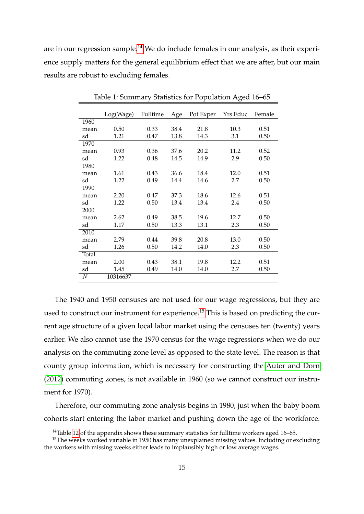are in our regression sample.<sup>[14](#page-15-1)</sup> We do include females in our analysis, as their experience supply matters for the general equilibrium effect that we are after, but our main results are robust to excluding females.

|                | Log(Wage) | Fulltime | Age  | Pot Exper | Yrs Educ | Female |
|----------------|-----------|----------|------|-----------|----------|--------|
| 1960           |           |          |      |           |          |        |
| mean           | 0.50      | 0.33     | 38.4 | 21.8      | 10.3     | 0.51   |
| sd             | 1.21      | 0.47     | 13.8 | 14.3      | 3.1      | 0.50   |
| 1970           |           |          |      |           |          |        |
| mean           | 0.93      | 0.36     | 37.6 | 20.2      | 11.2     | 0.52   |
| sd             | 1.22      | 0.48     | 14.5 | 14.9      | 2.9      | 0.50   |
| 1980           |           |          |      |           |          |        |
| mean           | 1.61      | 0.43     | 36.6 | 18.4      | 12.0     | 0.51   |
| sd             | 1.22      | 0.49     | 14.4 | 14.6      | 2.7      | 0.50   |
| 1990           |           |          |      |           |          |        |
| mean           | 2.20      | 0.47     | 37.3 | 18.6      | 12.6     | 0.51   |
| sd             | 1.22      | 0.50     | 13.4 | 13.4      | 2.4      | 0.50   |
| 2000           |           |          |      |           |          |        |
| mean           | 2.62      | 0.49     | 38.5 | 19.6      | 12.7     | 0.50   |
| sd             | 1.17      | 0.50     | 13.3 | 13.1      | 2.3      | 0.50   |
| 2010           |           |          |      |           |          |        |
| mean           | 2.79      | 0.44     | 39.8 | 20.8      | 13.0     | 0.50   |
| sd             | 1.26      | 0.50     | 14.2 | 14.0      | 2.3      | 0.50   |
| Total          |           |          |      |           |          |        |
| mean           | 2.00      | 0.43     | 38.1 | 19.8      | 12.2     | 0.51   |
| sd             | 1.45      | 0.49     | 14.0 | 14.0      | 2.7      | 0.50   |
| $\overline{N}$ | 10316637  |          |      |           |          |        |

<span id="page-15-0"></span>Table 1: Summary Statistics for Population Aged 16–65

The 1940 and 1950 censuses are not used for our wage regressions, but they are used to construct our instrument for experience.<sup>[15](#page-15-2)</sup> This is based on predicting the current age structure of a given local labor market using the censuses ten (twenty) years earlier. We also cannot use the 1970 census for the wage regressions when we do our analysis on the commuting zone level as opposed to the state level. The reason is that county group information, which is necessary for constructing the [Autor and Dorn](#page-38-0) [\(2012\)](#page-38-0) commuting zones, is not available in 1960 (so we cannot construct our instrument for 1970).

Therefore, our commuting zone analysis begins in 1980; just when the baby boom cohorts start entering the labor market and pushing down the age of the workforce.

<span id="page-15-2"></span><span id="page-15-1"></span> $14$ Table [12](#page-42-0) of the appendix shows these summary statistics for fulltime workers aged 16–65.

<sup>&</sup>lt;sup>15</sup>The weeks worked variable in 1950 has many unexplained missing values. Including or excluding the workers with missing weeks either leads to implausibly high or low average wages.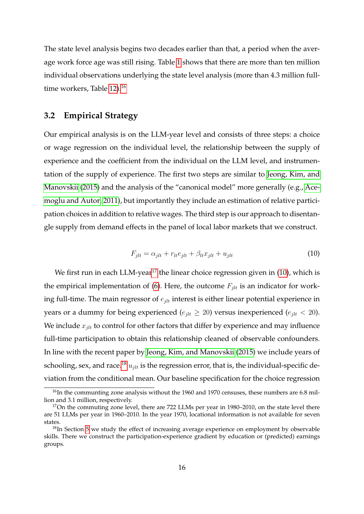The state level analysis begins two decades earlier than that, a period when the average work force age was still rising. Table [1](#page-15-0) shows that there are more than ten million individual observations underlying the state level analysis (more than 4.3 million full-time workers, Table [12\)](#page-42-0).<sup>[16](#page-16-0)</sup>

#### **3.2 Empirical Strategy**

Our empirical analysis is on the LLM-year level and consists of three steps: a choice or wage regression on the individual level, the relationship between the supply of experience and the coefficient from the individual on the LLM level, and instrumentation of the supply of experience. The first two steps are similar to [Jeong, Kim, and](#page-39-1) [Manovskii](#page-39-1) [\(2015\)](#page-39-1) and the analysis of the "canonical model" more generally (e.g., [Ace](#page-38-2)[moglu and Autor, 2011\)](#page-38-2), but importantly they include an estimation of relative participation choices in addition to relative wages. The third step is our approach to disentangle supply from demand effects in the panel of local labor markets that we construct.

<span id="page-16-2"></span>
$$
F_{jlt} = \alpha_{jlt} + r_{lt}e_{jlt} + \beta_{lt}x_{jlt} + u_{jlt}
$$
\n<sup>(10)</sup>

We first run in each LLM-year<sup>[17](#page-16-1)</sup> the linear choice regression given in  $(10)$ , which is the empirical implementation of [\(6\)](#page-8-2). Here, the outcome  $F_{jlt}$  is an indicator for working full-time. The main regressor of *ejlt* interest is either linear potential experience in years or a dummy for being experienced ( $e_{jlt} \geq 20$ ) versus inexperienced ( $e_{jlt} < 20$ ). We include  $x_{jlt}$  to control for other factors that differ by experience and may influence full-time participation to obtain this relationship cleaned of observable confounders. In line with the recent paper by [Jeong, Kim, and Manovskii](#page-39-1) [\(2015\)](#page-39-1) we include years of schooling, sex, and race.<sup>[18](#page-16-3)</sup>  $u_{jlt}$  is the regression error, that is, the individual-specific deviation from the conditional mean. Our baseline specification for the choice regression

<span id="page-16-0"></span> $16$ In the communting zone analysis without the 1960 and 1970 censuses, these numbers are 6.8 million and 3.1 million, respectively.

<span id="page-16-1"></span> $17$ On the commuting zone level, there are 722 LLMs per year in 1980–2010, on the state level there are 51 LLMs per year in 1960–2010. In the year 1970, locational information is not available for seven states.

<span id="page-16-3"></span> $18$ In Section [5](#page-28-0) we study the effect of increasing average experience on employment by observable skills. There we construct the participation-experience gradient by education or (predicted) earnings groups.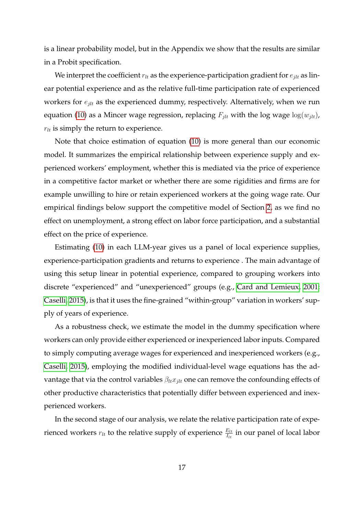is a linear probability model, but in the Appendix we show that the results are similar in a Probit specification.

We interpret the coefficient  $r_{lt}$  as the experience-participation gradient for  $e_{jlt}$  as linear potential experience and as the relative full-time participation rate of experienced workers for *ejlt* as the experienced dummy, respectively. Alternatively, when we run equation [\(10\)](#page-16-2) as a Mincer wage regression, replacing  $F_{jlt}$  with the log wage  $log(w_{jlt})$ ,  $r_{lt}$  is simply the return to experience.

Note that choice estimation of equation [\(10\)](#page-16-2) is more general than our economic model. It summarizes the empirical relationship between experience supply and experienced workers' employment, whether this is mediated via the price of experience in a competitive factor market or whether there are some rigidities and firms are for example unwilling to hire or retain experienced workers at the going wage rate. Our empirical findings below support the competitive model of Section [2,](#page-6-1) as we find no effect on unemployment, a strong effect on labor force participation, and a substantial effect on the price of experience.

Estimating [\(10\)](#page-16-2) in each LLM-year gives us a panel of local experience supplies, experience-participation gradients and returns to experience . The main advantage of using this setup linear in potential experience, compared to grouping workers into discrete "experienced" and "unexperienced" groups (e.g., [Card and Lemieux, 2001;](#page-39-4) [Caselli, 2015\)](#page-39-3), is that it uses the fine-grained "within-group" variation in workers' supply of years of experience.

As a robustness check, we estimate the model in the dummy specification where workers can only provide either experienced or inexperienced labor inputs. Compared to simply computing average wages for experienced and inexperienced workers (e.g., [Caselli, 2015\)](#page-39-3), employing the modified individual-level wage equations has the advantage that via the control variables *βltxjlt* one can remove the confounding effects of other productive characteristics that potentially differ between experienced and inexperienced workers.

In the second stage of our analysis, we relate the relative participation rate of experienced workers  $r_{lt}$  to the relative supply of experience  $\frac{E_{lt}}{I_{lt}}$  in our panel of local labor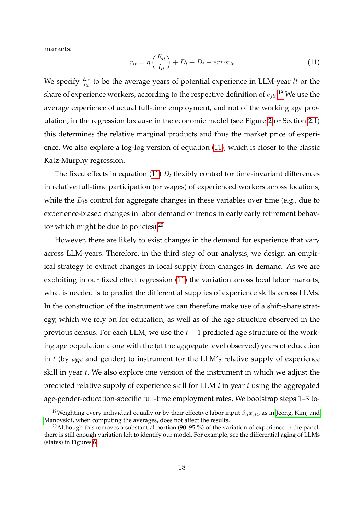markets:

<span id="page-18-1"></span>
$$
r_{lt} = \eta \left(\frac{E_{lt}}{I_{lt}}\right) + D_l + D_t + error_{lt} \tag{11}
$$

We specify  $\frac{E_{lt}}{I_{lt}}$  to be the average years of potential experience in LLM-year *lt* or the share of experience workers, according to the respective definition of *ejlt*. [19](#page-18-0) We use the average experience of actual full-time employment, and not of the working age population, in the regression because in the economic model (see Figure [2](#page-12-0) or Section [2.1\)](#page-6-2) this determines the relative marginal products and thus the market price of experience. We also explore a log-log version of equation [\(11\)](#page-18-1), which is closer to the classic Katz-Murphy regression.

The fixed effects in equation [\(11\)](#page-18-1)  $D_l$  flexibly control for time-invariant differences in relative full-time participation (or wages) of experienced workers across locations, while the *D*<sub>t</sub>s control for aggregate changes in these variables over time (e.g., due to experience-biased changes in labor demand or trends in early early retirement behavior which might be due to policies).[20](#page-18-2)

However, there are likely to exist changes in the demand for experience that vary across LLM-years. Therefore, in the third step of our analysis, we design an empirical strategy to extract changes in local supply from changes in demand. As we are exploiting in our fixed effect regression [\(11\)](#page-18-1) the variation across local labor markets, what is needed is to predict the differential supplies of experience skills across LLMs. In the construction of the instrument we can therefore make use of a shift-share strategy, which we rely on for education, as well as of the age structure observed in the previous census. For each LLM, we use the *t* − 1 predicted age structure of the working age population along with the (at the aggregate level observed) years of education in *t* (by age and gender) to instrument for the LLM's relative supply of experience skill in year *t*. We also explore one version of the instrument in which we adjust the predicted relative supply of experience skill for LLM *l* in year *t* using the aggregated age-gender-education-specific full-time employment rates. We bootstrap steps 1–3 to-

<span id="page-18-0"></span><sup>19</sup>Weighting every individual equally or by their effective labor input *βltxjlt*, as in [Jeong, Kim, and](#page-39-1) [Manovskii,](#page-39-1) when computing the averages, does not affect the results.

<span id="page-18-2"></span><sup>&</sup>lt;sup>20</sup> Although this removes a substantial portion (90–95 %) of the variation of experience in the panel, there is still enough variation left to identify our model. For example, see the differential aging of LLMs (states) in Figures [6.](#page-40-1)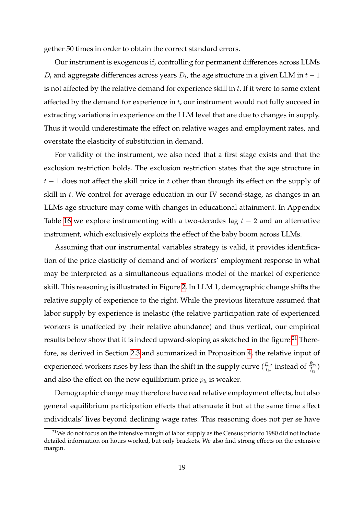gether 50 times in order to obtain the correct standard errors.

Our instrument is exogenous if, controlling for permanent differences across LLMs  $D_l$  and aggregate differences across years  $D_t$ , the age structure in a given LLM in  $t-1$ is not affected by the relative demand for experience skill in *t*. If it were to some extent affected by the demand for experience in *t*, our instrument would not fully succeed in extracting variations in experience on the LLM level that are due to changes in supply. Thus it would underestimate the effect on relative wages and employment rates, and overstate the elasticity of substitution in demand.

For validity of the instrument, we also need that a first stage exists and that the exclusion restriction holds. The exclusion restriction states that the age structure in *t* − 1 does not affect the skill price in *t* other than through its effect on the supply of skill in *t*. We control for average education in our IV second-stage, as changes in an LLMs age structure may come with changes in educational attainment. In Appendix Table [16](#page-44-0) we explore instrumenting with a two-decades lag *t* − 2 and an alternative instrument, which exclusively exploits the effect of the baby boom across LLMs.

Assuming that our instrumental variables strategy is valid, it provides identification of the price elasticity of demand and of workers' employment response in what may be interpreted as a simultaneous equations model of the market of experience skill. This reasoning is illustrated in Figure [2.](#page-12-0) In LLM 1, demographic change shifts the relative supply of experience to the right. While the previous literature assumed that labor supply by experience is inelastic (the relative participation rate of experienced workers is unaffected by their relative abundance) and thus vertical, our empirical results below show that it is indeed upward-sloping as sketched in the figure.<sup>[21](#page-19-0)</sup> Therefore, as derived in Section [2.3](#page-11-1) and summarized in Proposition [4,](#page-13-0) the relative input of experienced workers rises by less than the shift in the supply curve ( $\frac{E_{l2}}{I_{l2}}$  instead of  $\frac{\tilde{E}_{l2}}{\tilde{I}_{l2}}$ ) and also the effect on the new equilibrium price  $p_{lt}$  is weaker.

Demographic change may therefore have real relative employment effects, but also general equilibrium participation effects that attenuate it but at the same time affect individuals' lives beyond declining wage rates. This reasoning does not per se have

<span id="page-19-0"></span><sup>&</sup>lt;sup>21</sup> We do not focus on the intensive margin of labor supply as the Census prior to 1980 did not include detailed information on hours worked, but only brackets. We also find strong effects on the extensive margin.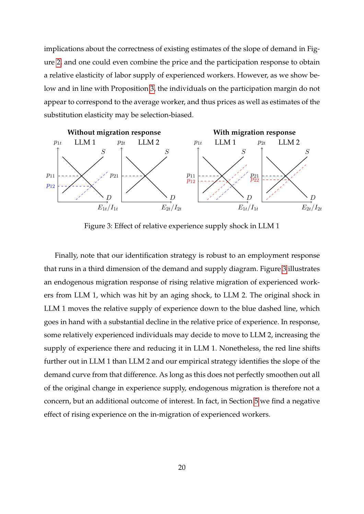implications about the correctness of existing estimates of the slope of demand in Figure [2,](#page-12-0) and one could even combine the price and the participation response to obtain a relative elasticity of labor supply of experienced workers. However, as we show below and in line with Proposition [3,](#page-10-1) the individuals on the participation margin do not appear to correspond to the average worker, and thus prices as well as estimates of the substitution elasticity may be selection-biased.



<span id="page-20-0"></span>Figure 3: Effect of relative experience supply shock in LLM 1

Finally, note that our identification strategy is robust to an employment response that runs in a third dimension of the demand and supply diagram. Figure [3](#page-20-0) illustrates an endogenous migration response of rising relative migration of experienced workers from LLM 1, which was hit by an aging shock, to LLM 2. The original shock in LLM 1 moves the relative supply of experience down to the blue dashed line, which goes in hand with a substantial decline in the relative price of experience. In response, some relatively experienced individuals may decide to move to LLM 2, increasing the supply of experience there and reducing it in LLM 1. Nonetheless, the red line shifts further out in LLM 1 than LLM 2 and our empirical strategy identifies the slope of the demand curve from that difference. As long as this does not perfectly smoothen out all of the original change in experience supply, endogenous migration is therefore not a concern, but an additional outcome of interest. In fact, in Section [5](#page-28-0) we find a negative effect of rising experience on the in-migration of experienced workers.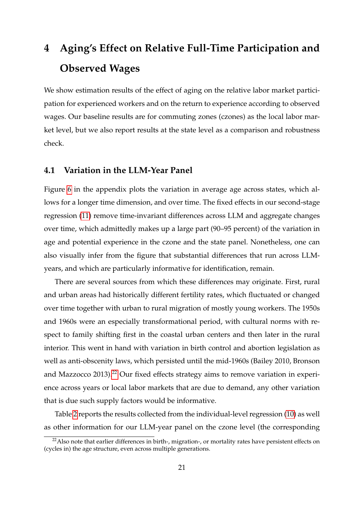# <span id="page-21-0"></span>**4 Aging's Effect on Relative Full-Time Participation and Observed Wages**

We show estimation results of the effect of aging on the relative labor market participation for experienced workers and on the return to experience according to observed wages. Our baseline results are for commuting zones (czones) as the local labor market level, but we also report results at the state level as a comparison and robustness check.

#### **4.1 Variation in the LLM-Year Panel**

Figure [6](#page-40-1) in the appendix plots the variation in average age across states, which allows for a longer time dimension, and over time. The fixed effects in our second-stage regression [\(11\)](#page-18-1) remove time-invariant differences across LLM and aggregate changes over time, which admittedly makes up a large part (90–95 percent) of the variation in age and potential experience in the czone and the state panel. Nonetheless, one can also visually infer from the figure that substantial differences that run across LLMyears, and which are particularly informative for identification, remain.

There are several sources from which these differences may originate. First, rural and urban areas had historically different fertility rates, which fluctuated or changed over time together with urban to rural migration of mostly young workers. The 1950s and 1960s were an especially transformational period, with cultural norms with respect to family shifting first in the coastal urban centers and then later in the rural interior. This went in hand with variation in birth control and abortion legislation as well as anti-obscenity laws, which persisted until the mid-1960s (Bailey 2010, Bronson and Mazzocco 2013).<sup>[22](#page-21-1)</sup> Our fixed effects strategy aims to remove variation in experience across years or local labor markets that are due to demand, any other variation that is due such supply factors would be informative.

Table [2](#page-22-0) reports the results collected from the individual-level regression [\(10\)](#page-16-2) as well as other information for our LLM-year panel on the czone level (the corresponding

<span id="page-21-1"></span> $^{22}$ Also note that earlier differences in birth-, migration-, or mortality rates have persistent effects on (cycles in) the age structure, even across multiple generations.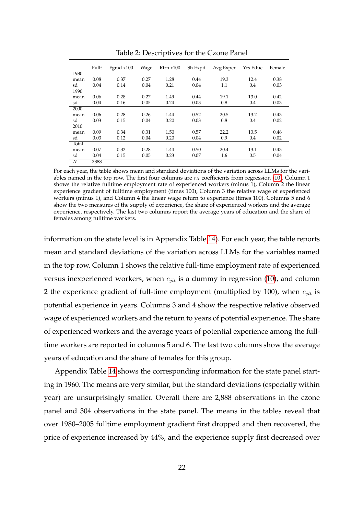|       | Fullt | Fgrad x100 | Wage | $R$ trn $x100$ | Sh Expd | Avg Exper | Yrs Educ | Female |
|-------|-------|------------|------|----------------|---------|-----------|----------|--------|
| 1980  |       |            |      |                |         |           |          |        |
| mean  | 0.08  | 0.37       | 0.27 | 1.28           | 0.44    | 19.3      | 12.4     | 0.38   |
| sd    | 0.04  | 0.14       | 0.04 | 0.21           | 0.04    | 1.1       | 0.4      | 0.03   |
| 1990  |       |            |      |                |         |           |          |        |
| mean  | 0.06  | 0.28       | 0.27 | 1.49           | 0.44    | 19.1      | 13.0     | 0.42   |
| sd    | 0.04  | 0.16       | 0.05 | 0.24           | 0.03    | 0.8       | 0.4      | 0.03   |
| 2000  |       |            |      |                |         |           |          |        |
| mean  | 0.06  | 0.28       | 0.26 | 1.44           | 0.52    | 20.5      | 13.2     | 0.43   |
| sd    | 0.03  | 0.15       | 0.04 | 0.20           | 0.03    | 0.8       | 0.4      | 0.02   |
| 2010  |       |            |      |                |         |           |          |        |
| mean  | 0.09  | 0.34       | 0.31 | 1.50           | 0.57    | 22.2      | 13.5     | 0.46   |
| sd    | 0.03  | 0.12       | 0.04 | 0.20           | 0.04    | 0.9       | 0.4      | 0.02   |
| Total |       |            |      |                |         |           |          |        |
| mean  | 0.07  | 0.32       | 0.28 | 1.44           | 0.50    | 20.4      | 13.1     | 0.43   |
| sd    | 0.04  | 0.15       | 0.05 | 0.23           | 0.07    | 1.6       | 0.5      | 0.04   |
| N     | 2888  |            |      |                |         |           |          |        |

<span id="page-22-0"></span>Table 2: Descriptives for the Czone Panel

For each year, the table shows mean and standard deviations of the variation across LLMs for the variables named in the top row. The first four columns are *rlt* coefficients from regression [\(10\)](#page-16-2). Column 1 shows the relative fulltime employment rate of experienced workers (minus 1), Column 2 the linear experience gradient of fulltime employment (times 100), Column 3 the relative wage of experienced workers (minus 1), and Column 4 the linear wage return to experience (times 100). Columns 5 and 6 show the two measures of the supply of experience, the share of experienced workers and the average experience, respectively. The last two columns report the average years of education and the share of females among fulltime workers.

information on the state level is in Appendix Table [14\)](#page-43-0). For each year, the table reports mean and standard deviations of the variation across LLMs for the variables named in the top row. Column 1 shows the relative full-time employment rate of experienced versus inexperienced workers, when *ejlt* is a dummy in regression [\(10\)](#page-16-2), and column 2 the experience gradient of full-time employment (multiplied by 100), when  $e_{jlt}$  is potential experience in years. Columns 3 and 4 show the respective relative observed wage of experienced workers and the return to years of potential experience. The share of experienced workers and the average years of potential experience among the fulltime workers are reported in columns 5 and 6. The last two columns show the average years of education and the share of females for this group.

Appendix Table [14](#page-43-0) shows the corresponding information for the state panel starting in 1960. The means are very similar, but the standard deviations (especially within year) are unsurprisingly smaller. Overall there are 2,888 observations in the czone panel and 304 observations in the state panel. The means in the tables reveal that over 1980–2005 fulltime employment gradient first dropped and then recovered, the price of experience increased by 44%, and the experience supply first decreased over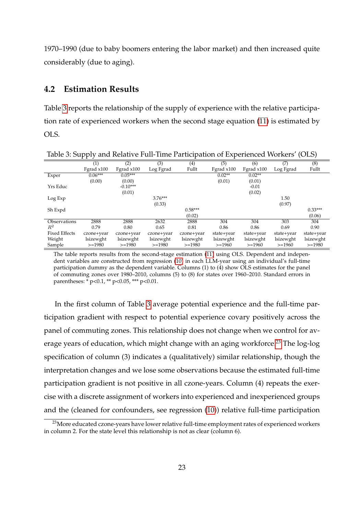1970–1990 (due to baby boomers entering the labor market) and then increased quite considerably (due to aging).

#### **4.2 Estimation Results**

Table [3](#page-23-0) reports the relationship of the supply of experience with the relative participation rate of experienced workers when the second stage equation [\(11\)](#page-18-1) is estimated by OLS.

|                      | una randi e i un mine i unicipation el miperiencea riomero<br>$\sim$ $ \sim$ $\prime$ |            |            |            |              |                 |            |            |  |
|----------------------|---------------------------------------------------------------------------------------|------------|------------|------------|--------------|-----------------|------------|------------|--|
|                      | (1)                                                                                   | (2)        | (3)        | (4)        | (5)          | (6)             | (7)        | (8)        |  |
|                      | Fgrad x100                                                                            | Fgrad x100 | Log Fgrad  | Fullt      | Fgrad $x100$ | Fgrad x100      | Log Fgrad  | Fullt      |  |
| Exper                | $0.06***$                                                                             | $0.05***$  |            |            | $0.02**$     | $0.02**$        |            |            |  |
|                      | (0.00)                                                                                | (0.00)     |            |            | (0.01)       | (0.01)          |            |            |  |
| Yrs Educ             |                                                                                       | $-0.10***$ |            |            |              | $-0.01$         |            |            |  |
|                      |                                                                                       | (0.01)     |            |            |              | (0.02)          |            |            |  |
| Log Exp              |                                                                                       |            | $3.76***$  |            |              |                 | 1.50       |            |  |
|                      |                                                                                       |            | (0.33)     |            |              |                 | (0.97)     |            |  |
| Sh Expd              |                                                                                       |            |            | $0.58***$  |              |                 |            | $0.33***$  |  |
|                      |                                                                                       |            |            | (0.02)     |              |                 |            | (0.06)     |  |
| Observations         | 2888                                                                                  | 2888       | 2632       | 2888       | 304          | 304             | 303        | 304        |  |
| $R^2$                | 0.79                                                                                  | 0.80       | 0.65       | 0.81       | 0.86         | 0.86            | 0.69       | 0.90       |  |
| <b>Fixed Effects</b> | czone+year                                                                            | czone+year | czone+year | czone+year | state+year   | state+year      | state+year | state+year |  |
| Weight               | lsizewght                                                                             | lsizewght  | lsizewght  | lsizewght  | lsizewght    | <i>sizewght</i> | lsizewght  | lsizewght  |  |
| Sample               | $>=1980$                                                                              | $>=1980$   | $>=1980$   | $>=1980$   | $>=1960$     | $>=1960$        | $>=1960$   | $>=1980$   |  |

<span id="page-23-0"></span>Table 3: Supply and Relative Full-Time Participation of Experienced Workers' (OLS)

The table reports results from the second-stage estimation [\(11\)](#page-18-1) using OLS. Dependent and independent variables are constructed from regression [\(10\)](#page-16-2) in each LLM-year using an individual's full-time participation dummy as the dependent variable. Columns (1) to (4) show OLS estimates for the panel of commuting zones over 1980–2010, columns (5) to (8) for states over 1960–2010. Standard errors in parentheses: \* p<0.1, \*\* p<0.05, \*\*\* p<0.01.

In the first column of Table [3](#page-23-0) average potential experience and the full-time participation gradient with respect to potential experience covary positively across the panel of commuting zones. This relationship does not change when we control for av-erage years of education, which might change with an aging workforce.<sup>[23](#page-23-1)</sup> The log-log specification of column (3) indicates a (qualitatively) similar relationship, though the interpretation changes and we lose some observations because the estimated full-time participation gradient is not positive in all czone-years. Column (4) repeats the exercise with a discrete assignment of workers into experienced and inexperienced groups and the (cleaned for confounders, see regression [\(10\)](#page-16-2)) relative full-time participation

<span id="page-23-1"></span><sup>&</sup>lt;sup>23</sup>More educated czone-years have lower relative full-time employment rates of experienced workers in column 2. For the state level this relationship is not as clear (column 6).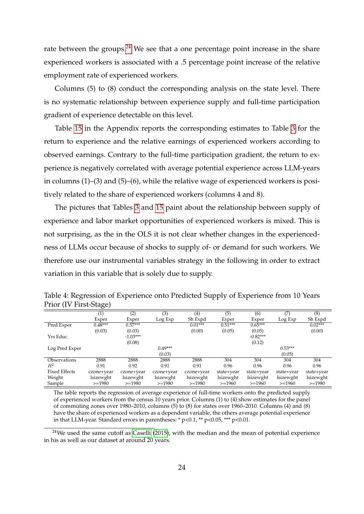rate between the groups.<sup>[24](#page-24-0)</sup> We see that a one percentage point increase in the share experienced workers is associated with a .5 percentage point increase of the relative employment rate of experienced workers.

Columns (5) to (8) conduct the corresponding analysis on the state level. There is no systematic relationship between experience supply and full-time participation gradient of experience detectable on this level.

Table [15](#page-43-1) in the Appendix reports the corresponding estimates to Table [3](#page-23-0) for the return to experience and the relative earnings of experienced workers according to observed earnings. Contrary to the full-time participation gradient, the return to experience is negatively correlated with average potential experience across LLM-years in columns (1)–(3) and (5)–(6), while the relative wage of experienced workers is positively related to the share of experienced workers (columns 4 and 8).

The pictures that Tables [3](#page-23-0) and [15](#page-43-1) paint about the relationship between supply of experience and labor market opportunities of experienced workers is mixed. This is not surprising, as the in the OLS it is not clear whether changes in the experiencedness of LLMs occur because of shocks to supply of- or demand for such workers. We therefore use our instrumental variables strategy in the following in order to extract variation in this variable that is solely due to supply.

|                      | $\left( 1\right)$ | (2)        | (3)        | (4)        | (5)        | (6)        | (7)        | (8)        |
|----------------------|-------------------|------------|------------|------------|------------|------------|------------|------------|
|                      | Exper             | Exper      | Log Exp    | Sh Expd    | Exper      | Exper      | Log Exp    | Sh Expd    |
| Pred Exper           | $0.48***$         | $0.57***$  |            | $0.01***$  | $0.51***$  | $0.65***$  |            | $0.02***$  |
|                      | (0.03)            | (0.03)     |            | (0.00)     | (0.05)     | (0.05)     |            | (0.00)     |
| Yrs Educ             |                   | $-1.03***$ |            |            |            | $-0.82***$ |            |            |
|                      |                   | (0.08)     |            |            |            | (0.12)     |            |            |
| Log Pred Exper       |                   |            | $0.49***$  |            |            |            | $0.53***$  |            |
|                      |                   |            | (0.03)     |            |            |            | (0.05)     |            |
| Observations         | 2888              | 2888       | 2888       | 2888       | 304        | 304        | 304        | 304        |
| $\mathbb{R}^2$       | 0.91              | 0.92       | 0.91       | 0.91       | 0.96       | 0.96       | 0.96       | 0.96       |
| <b>Fixed Effects</b> | czone+year        | czone+year | czone+year | czone+year | state+year | state+year | state+year | state+year |
| Weight               | lsizewght         | lsizewght  | lsizewght  | lsizewght  | lsizewght  | lsizewght  | lsizewght  | lsizewght  |
| Sample               | $>=1980$          | $>=1980$   | $>=1980$   | $>=1980$   | $>=1960$   | $>=1960$   | $>=1960$   | $>=1980$   |

<span id="page-24-1"></span>Table 4: Regression of Experience onto Predicted Supply of Experience from 10 Years Prior (IV First-Stage)

The table reports the regression of average experience of full-time workers onto the predicted supply of experienced workers from the census 10 years prior. Columns (1) to (4) show estimates for the panel of commuting zones over 1980–2010, columns (5) to (8) for states over 1960–2010. Columns (4) and (8) have the share of experienced workers as a dependent variable, the others average potential experience in that LLM-year. Standard errors in parentheses:  $* p<0.1$ ,  $** p<0.05$ ,  $*** p<0.01$ .

<span id="page-24-0"></span> $24$ We used the same cutoff as [Caselli](#page-39-3) [\(2015\)](#page-39-3), with the median and the mean of potential experience in his as well as our dataset at around 20 years.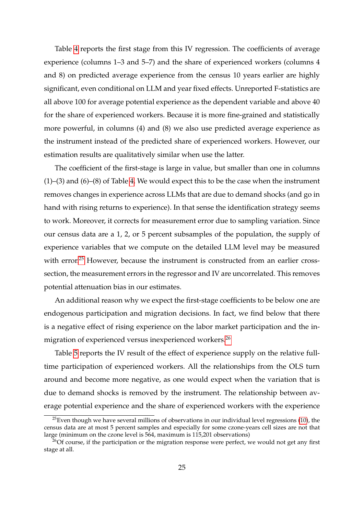Table [4](#page-24-1) reports the first stage from this IV regression. The coefficients of average experience (columns 1–3 and 5–7) and the share of experienced workers (columns 4 and 8) on predicted average experience from the census 10 years earlier are highly significant, even conditional on LLM and year fixed effects. Unreported F-statistics are all above 100 for average potential experience as the dependent variable and above 40 for the share of experienced workers. Because it is more fine-grained and statistically more powerful, in columns (4) and (8) we also use predicted average experience as the instrument instead of the predicted share of experienced workers. However, our estimation results are qualitatively similar when use the latter.

The coefficient of the first-stage is large in value, but smaller than one in columns (1)–(3) and (6)–(8) of Table [4.](#page-24-1) We would expect this to be the case when the instrument removes changes in experience across LLMs that are due to demand shocks (and go in hand with rising returns to experience). In that sense the identification strategy seems to work. Moreover, it corrects for measurement error due to sampling variation. Since our census data are a 1, 2, or 5 percent subsamples of the population, the supply of experience variables that we compute on the detailed LLM level may be measured with error.<sup>[25](#page-25-0)</sup> However, because the instrument is constructed from an earlier crosssection, the measurement errors in the regressor and IV are uncorrelated. This removes potential attenuation bias in our estimates.

An additional reason why we expect the first-stage coefficients to be below one are endogenous participation and migration decisions. In fact, we find below that there is a negative effect of rising experience on the labor market participation and the in-migration of experienced versus inexperienced workers.<sup>[26](#page-25-1)</sup>

Table [5](#page-26-0) reports the IV result of the effect of experience supply on the relative fulltime participation of experienced workers. All the relationships from the OLS turn around and become more negative, as one would expect when the variation that is due to demand shocks is removed by the instrument. The relationship between average potential experience and the share of experienced workers with the experience

<span id="page-25-0"></span> $^{25}$ Even though we have several millions of observations in our individual level regressions [\(10\)](#page-16-2), the census data are at most 5 percent samples and especially for some czone-years cell sizes are not that large (minimum on the czone level is 564, maximum is 115,201 observations)

<span id="page-25-1"></span> $^{26}$ Of course, if the participation or the migration response were perfect, we would not get any first stage at all.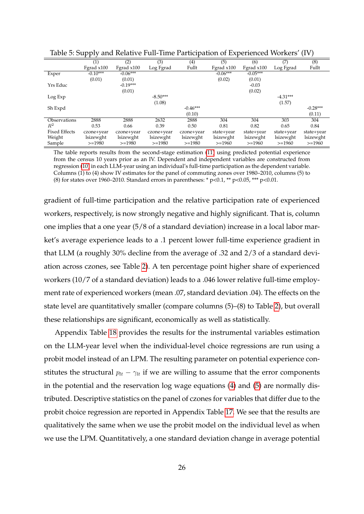|                      | 1 1 J      |            |            |            | л.         |              |            | $\epsilon$ |
|----------------------|------------|------------|------------|------------|------------|--------------|------------|------------|
|                      | (1)        | (2)        | (3)        | (4)        | (5)        | (6)          | (7)        | (8)        |
|                      | Fgrad x100 | Fgrad x100 | Log Fgrad  | Fullt      | Fgrad x100 | Fgrad $x100$ | Log Fgrad  | Fullt      |
| Exper                | $-0.10***$ | $-0.06***$ |            |            | $-0.06***$ | $-0.05***$   |            |            |
|                      | (0.01)     | (0.01)     |            |            | (0.02)     | (0.01)       |            |            |
| Yrs Educ             |            | $-0.19***$ |            |            |            | $-0.03$      |            |            |
|                      |            | (0.01)     |            |            |            | (0.02)       |            |            |
| Log Exp              |            |            | $-8.50***$ |            |            |              | $-4.31***$ |            |
|                      |            |            | (1.08)     |            |            |              | (1.57)     |            |
| Sh Expd              |            |            |            | $-0.46***$ |            |              |            | $-0.28***$ |
|                      |            |            |            | (0.10)     |            |              |            | (0.11)     |
| Observations         | 2888       | 2888       | 2632       | 2888       | 304        | 304          | 303        | 304        |
| $R^2$                | 0.53       | 0.66       | 0.39       | 0.50       | 0.81       | 0.82         | 0.65       | 0.84       |
| <b>Fixed Effects</b> | czone+year | czone+year | czone+year | czone+year | state+year | state+year   | state+year | state+year |
| Weight               | lsizewght  | lsizewght  | lsizewght  | lsizewght  | lsizewght  | lsizewght    | lsizewght  | lsizewght  |
| Sample               | $>=1980$   | $>=1980$   | $>=1980$   | $>=1980$   | $>=1960$   | $>=1960$     | $>=1960$   | $>=1960$   |

<span id="page-26-0"></span>Table 5: Supply and Relative Full-Time Participation of Experienced Workers' (IV)

The table reports results from the second-stage estimation [\(11\)](#page-18-1) using predicted potential experience from the census 10 years prior as an IV. Dependent and independent variables are constructed from regression [\(10\)](#page-16-2) in each LLM-year using an individual's full-time participation as the dependent variable. Columns (1) to (4) show IV estimates for the panel of commuting zones over 1980–2010, columns (5) to (8) for states over 1960–2010. Standard errors in parentheses: \*  $p<0.1$ , \*\*  $p<0.05$ , \*\*\*  $p<0.01$ .

gradient of full-time participation and the relative participation rate of experienced workers, respectively, is now strongly negative and highly significant. That is, column one implies that a one year (5/8 of a standard deviation) increase in a local labor market's average experience leads to a .1 percent lower full-time experience gradient in that LLM (a roughly 30% decline from the average of .32 and 2/3 of a standard deviation across czones, see Table [2\)](#page-22-0). A ten percentage point higher share of experienced workers (10/7 of a standard deviation) leads to a .046 lower relative full-time employment rate of experienced workers (mean .07, standard deviation .04). The effects on the state level are quantitatively smaller (compare columns (5)–(8) to Table [2\)](#page-22-0), but overall these relationships are significant, economically as well as statistically.

Appendix Table [18](#page-45-0) provides the results for the instrumental variables estimation on the LLM-year level when the individual-level choice regressions are run using a probit model instead of an LPM. The resulting parameter on potential experience constitutes the structural  $p_{lt} - \gamma_{lt}$  if we are willing to assume that the error components in the potential and the reservation log wage equations [\(4\)](#page-7-2) and [\(5\)](#page-7-3) are normally distributed. Descriptive statistics on the panel of czones for variables that differ due to the probit choice regression are reported in Appendix Table [17.](#page-44-1) We see that the results are qualitatively the same when we use the probit model on the individual level as when we use the LPM. Quantitatively, a one standard deviation change in average potential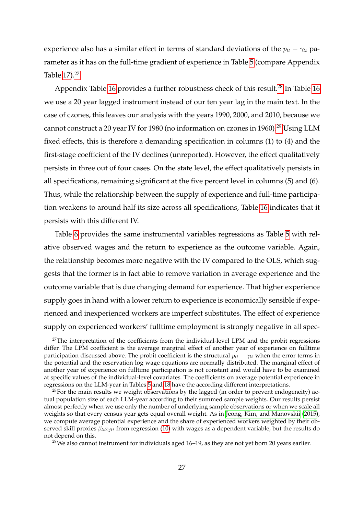experience also has a similar effect in terms of standard deviations of the  $p_{lt} - \gamma_{lt}$  parameter as it has on the full-time gradient of experience in Table [5](#page-26-0) (compare Appendix Table [17\)](#page-44-1).<sup>[27](#page-27-0)</sup>

Appendix Table [16](#page-44-0) provides a further robustness check of this result.<sup>[28](#page-27-1)</sup> In Table 16 we use a 20 year lagged instrument instead of our ten year lag in the main text. In the case of czones, this leaves our analysis with the years 1990, 2000, and 2010, because we cannot construct a 20 year IV for 1980 (no information on czones in 1960).<sup>[29](#page-27-2)</sup> Using LLM fixed effects, this is therefore a demanding specification in columns (1) to (4) and the first-stage coefficient of the IV declines (unreported). However, the effect qualitatively persists in three out of four cases. On the state level, the effect qualitatively persists in all specifications, remaining significant at the five percent level in columns (5) and (6). Thus, while the relationship between the supply of experience and full-time participation weakens to around half its size across all specifications, Table [16](#page-44-0) indicates that it persists with this different IV.

Table [6](#page-28-1) provides the same instrumental variables regressions as Table [5](#page-26-0) with relative observed wages and the return to experience as the outcome variable. Again, the relationship becomes more negative with the IV compared to the OLS, which suggests that the former is in fact able to remove variation in average experience and the outcome variable that is due changing demand for experience. That higher experience supply goes in hand with a lower return to experience is economically sensible if experienced and inexperienced workers are imperfect substitutes. The effect of experience supply on experienced workers' fulltime employment is strongly negative in all spec-

<span id="page-27-0"></span><sup>&</sup>lt;sup>27</sup>The interpretation of the coefficients from the individual-level LPM and the probit regressions differ. The LPM coefficient is the average marginal effect of another year of experience on fulltime participation discussed above. The probit coefficient is the structural  $p_{lt} - \gamma_{lt}$  when the error terms in the potential and the reservation log wage equations are normally distributed. The marginal effect of another year of experience on fulltime participation is not constant and would have to be examined at specific values of the individual-level covariates. The coefficients on average potential experience in regressions on the LLM-year in Tables [5](#page-26-0) and [18](#page-45-0) have the according different interpretations.

<span id="page-27-1"></span> $^{28}$ For the main results we weight observations by the lagged (in order to prevent endogeneity) actual population size of each LLM-year according to their summed sample weights. Our results persist almost perfectly when we use only the number of underlying sample observations or when we scale all weights so that every census year gets equal overall weight. As in [Jeong, Kim, and Manovskii](#page-39-1) [\(2015\)](#page-39-1), we compute average potential experience and the share of experienced workers weighted by their observed skill proxies *βltxjlt* from regression [\(10\)](#page-16-2) with wages as a dependent variable, but the results do not depend on this.

<span id="page-27-2"></span> $29$ We also cannot instrument for individuals aged 16–19, as they are not yet born 20 years earlier.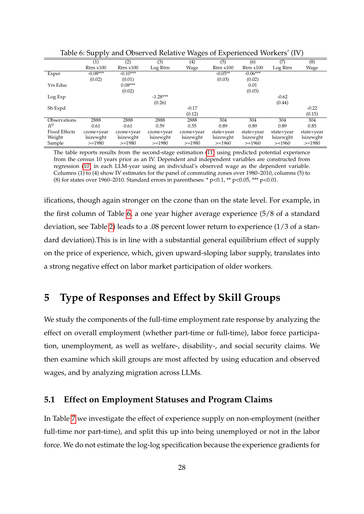|                      | 11 V           |                |            | ັ          |                |                |            |            |
|----------------------|----------------|----------------|------------|------------|----------------|----------------|------------|------------|
|                      | (1)            | (2)            | (3)        | (4)        | (5)            | (6)            | (7)        | (8)        |
|                      | $R$ trn $x100$ | $R$ trn $x100$ | Log Rtrn   | Wage       | $R$ trn $x100$ | $R$ trn $x100$ | Log Rtrn   | Wage       |
| Exper                | $-0.08***$     | $-0.10***$     |            |            | $-0.05**$      | $-0.06***$     |            |            |
|                      | (0.02)         | (0.01)         |            |            | (0.03)         | (0.02)         |            |            |
| Yrs Educ             |                | $0.08***$      |            |            |                | 0.01           |            |            |
|                      |                | (0.02)         |            |            |                | (0.03)         |            |            |
| Log Exp              |                |                | $-1.28***$ |            |                |                | $-0.62$    |            |
|                      |                |                | (0.26)     |            |                |                | (0.44)     |            |
| Sh Expd              |                |                |            | $-0.17$    |                |                |            | $-0.22$    |
|                      |                |                |            | (0.12)     |                |                |            | (0.15)     |
| Observations         | 2888           | 2888           | 2888       | 2888       | 304            | 304            | 304        | 304        |
| $R^2$                | 0.61           | 0.61           | 0.59       | 0.55       | 0.89           | 0.89           | 0.89       | 0.85       |
| <b>Fixed Effects</b> | czone+year     | czone+year     | czone+year | czone+year | state+year     | state+year     | state+year | state+year |
| Weight               | lsizewght      | lsizewght      | lsizewght  | lsizewght  | lsizewght      | lsizewght      | lsizewght  | lsizewght  |
| Sample               | $>=1980$       | $>=1980$       | $>=1980$   | $>=1980$   | $>=1960$       | $>=1960$       | $>=1960$   | $>=1980$   |

<span id="page-28-1"></span>Table 6: Supply and Observed Relative Wages of Experienced Workers' (IV)

The table reports results from the second-stage estimation [\(11\)](#page-18-1) using predicted potential experience from the census 10 years prior as an IV. Dependent and independent variables are constructed from regression [\(10\)](#page-16-2) in each LLM-year using an individual's observed wage as the dependent variable. Columns (1) to (4) show IV estimates for the panel of commuting zones over 1980–2010, columns (5) to (8) for states over 1960–2010. Standard errors in parentheses: \*  $p<0.1$ , \*\*  $p<0.05$ , \*\*\*  $p<0.01$ .

ifications, though again stronger on the czone than on the state level. For example, in the first column of Table [6,](#page-28-1) a one year higher average experience (5/8 of a standard deviation, see Table [2\)](#page-22-0) leads to a .08 percent lower return to experience (1/3 of a standard deviation).This is in line with a substantial general equilibrium effect of supply on the price of experience, which, given upward-sloping labor supply, translates into a strong negative effect on labor market participation of older workers.

## <span id="page-28-0"></span>**5 Type of Responses and Effect by Skill Groups**

We study the components of the full-time employment rate response by analyzing the effect on overall employment (whether part-time or full-time), labor force participation, unemployment, as well as welfare-, disability-, and social security claims. We then examine which skill groups are most affected by using education and observed wages, and by analyzing migration across LLMs.

#### **5.1 Effect on Employment Statuses and Program Claims**

In Table [7](#page-29-0) we investigate the effect of experience supply on non-employment (neither full-time nor part-time), and split this up into being unemployed or not in the labor force. We do not estimate the log-log specification because the experience gradients for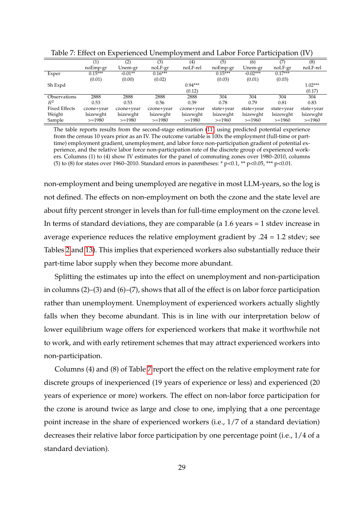|                      |            |            |            | $\overline{\phantom{a}}$ |            |            |            |            |
|----------------------|------------|------------|------------|--------------------------|------------|------------|------------|------------|
|                      |            | (2)        | (3)        | (4)                      | (5)        | (6)        | 7)         | (8)        |
|                      | noEmp-gr   | Unem-gr    | noLF-gr    | noLF-rel                 | noEmp-gr   | Unem-gr    | noLF-gr    | noLF-rel   |
| Exper                | $0.15***$  | $-0.01**$  | $0.16***$  |                          | $0.15***$  | $-0.02***$ | $0.17***$  |            |
|                      | (0.01)     | (0.00)     | (0.02)     |                          | (0.03)     | (0.01)     | (0.03)     |            |
| Sh Expd              |            |            |            | $0.94***$                |            |            |            | $1.02***$  |
|                      |            |            |            | (0.12)                   |            |            |            | (0.17)     |
| Observations         | 2888       | 2888       | 2888       | 2888                     | 304        | 304        | 304        | 304        |
| $R^2$                | 0.53       | 0.53       | 0.56       | 0.39                     | 0.78       | 0.79       | 0.81       | 0.83       |
| <b>Fixed Effects</b> | czone+year | czone+year | czone+year | czone+year               | state+year | state+year | state+year | state+year |
| Weight               | lsizewght  | lsizewght  | lsizewght  | lsizewght                | lsizewght  | lsizewght  | lsizewght  | lsizewght  |
| Sample               | $>=1980$   | $>=1980$   | $>=1980$   | $>=1980$                 | $>=1960$   | $>=1960$   | $>=1960$   | $>=1960$   |

<span id="page-29-0"></span>Table 7: Effect on Experienced Unemployment and Labor Force Participation (IV)

The table reports results from the second-stage estimation [\(11\)](#page-18-1) using predicted potential experience from the census 10 years prior as an IV. The outcome variable is 100x the employment (full-time or parttime) employment gradient, unemployment, and labor force non-participation gradient of potential experience, and the relative labor force non-participation rate of the discrete group of experienced workers. Columns (1) to (4) show IV estimates for the panel of commuting zones over 1980–2010, columns (5) to (8) for states over 1960–2010. Standard errors in parentheses: \*  $p<0.1$ , \*\*  $p<0.05$ , \*\*\*  $p<0.01$ .

non-employment and being unemployed are negative in most LLM-years, so the log is not defined. The effects on non-employment on both the czone and the state level are about fifty percent stronger in levels than for full-time employment on the czone level. In terms of standard deviations, they are comparable (a 1.6 years = 1 stdev increase in average experience reduces the relative employment gradient by .24 = 1.2 stdev; see Tables [2](#page-22-0) and [13\)](#page-42-1). This implies that experienced workers also substantially reduce their part-time labor supply when they become more abundant.

Splitting the estimates up into the effect on unemployment and non-participation in columns (2)–(3) and (6)–(7), shows that all of the effect is on labor force participation rather than unemployment. Unemployment of experienced workers actually slightly falls when they become abundant. This is in line with our interpretation below of lower equilibrium wage offers for experienced workers that make it worthwhile not to work, and with early retirement schemes that may attract experienced workers into non-participation.

Columns (4) and (8) of Table [7](#page-29-0) report the effect on the relative employment rate for discrete groups of inexperienced (19 years of experience or less) and experienced (20 years of experience or more) workers. The effect on non-labor force participation for the czone is around twice as large and close to one, implying that a one percentage point increase in the share of experienced workers (i.e., 1/7 of a standard deviation) decreases their relative labor force participation by one percentage point (i.e., 1/4 of a standard deviation).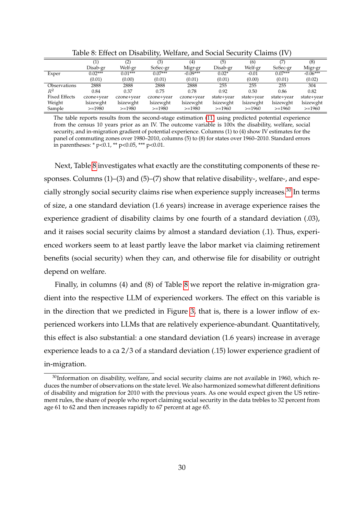|                      |            | (2)        | (3)        | $\scriptstyle{(4)}$ | (5)        | (6)        | (7)        | (8)        |
|----------------------|------------|------------|------------|---------------------|------------|------------|------------|------------|
|                      | Disab-gr   | Welf-gr    | SoSec-gr   | Migr-gr             | Disab-gr   | Welf-gr    | SoSec-gr   | Migr-gr    |
| Exper                | $0.02***$  | $0.01***$  | $0.07***$  | $-0.09***$          | $0.02*$    | $-0.01$    | $0.07***$  | $-0.06***$ |
|                      | (0.01)     | (0.00)     | (0.01)     | (0.01)              | (0.01)     | (0.00)     | (0.01)     | (0.02)     |
| Observations         | 2888       | 2888       | 2888       | 2888                | 255        | 255        | 255        | 304        |
| $R^2$                | 0.84       | 0.37       | 0.75       | 0.78                | 0.92       | 0.50       | 0.86       | 0.82       |
| <b>Fixed Effects</b> | czone+year | czone+year | czone+year | czone+year          | state+year | state+year | state+year | state+year |
| Weight               | lsizewght  | lsizewght  | lsizewght  | lsizewght           | lsizewght  | lsizewght  | lsizewght  | lsizewght  |
| Sample               | $>=1980$   | $>=1980$   | $>=1980$   | $>=1980$            | $>=1960$   | $>=1960$   | $>=1960$   | $>=1960$   |

<span id="page-30-0"></span>Table 8: Effect on Disability, Welfare, and Social Security Claims (IV)

The table reports results from the second-stage estimation [\(11\)](#page-18-1) using predicted potential experience from the census 10 years prior as an IV. The outcome variable is 100x the disability, welfare, social security, and in-migration gradient of potential experience. Columns (1) to (4) show IV estimates for the panel of commuting zones over 1980–2010, columns (5) to (8) for states over 1960–2010. Standard errors in parentheses: \*  $p<0.1$ , \*\*  $p<0.05$ , \*\*\*  $p<0.01$ .

Next, Table [8](#page-30-0) investigates what exactly are the constituting components of these responses. Columns (1)–(3) and (5)–(7) show that relative disability-, welfare-, and espe-cially strongly social security claims rise when experience supply increases.<sup>[30](#page-30-1)</sup> In terms of size, a one standard deviation (1.6 years) increase in average experience raises the experience gradient of disability claims by one fourth of a standard deviation (.03), and it raises social security claims by almost a standard deviation (.1). Thus, experienced workers seem to at least partly leave the labor market via claiming retirement benefits (social security) when they can, and otherwise file for disability or outright depend on welfare.

Finally, in columns (4) and (8) of Table [8](#page-30-0) we report the relative in-migration gradient into the respective LLM of experienced workers. The effect on this variable is in the direction that we predicted in Figure [3,](#page-20-0) that is, there is a lower inflow of experienced workers into LLMs that are relatively experience-abundant. Quantitatively, this effect is also substantial: a one standard deviation (1.6 years) increase in average experience leads to a ca 2/3 of a standard deviation (.15) lower experience gradient of in-migration.

<span id="page-30-1"></span> $30$ Information on disability, welfare, and social security claims are not available in 1960, which reduces the number of observations on the state level. We also harmonized somewhat different definitions of disability and migration for 2010 with the previous years. As one would expect given the US retirement rules, the share of people who report claiming social security in the data trebles to 32 percent from age 61 to 62 and then increases rapidly to 67 percent at age 65.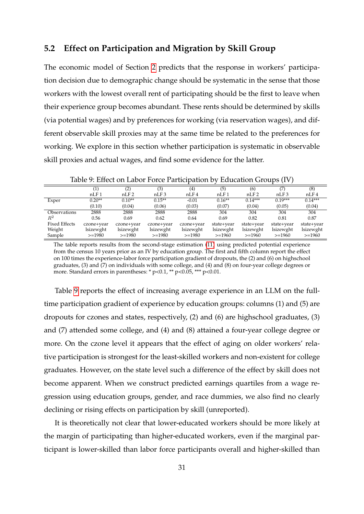#### **5.2 Effect on Participation and Migration by Skill Group**

The economic model of Section [2](#page-6-1) predicts that the response in workers' participation decision due to demographic change should be systematic in the sense that those workers with the lowest overall rent of participating should be the first to leave when their experience group becomes abundant. These rents should be determined by skills (via potential wages) and by preferences for working (via reservation wages), and different observable skill proxies may at the same time be related to the preferences for working. We explore in this section whether participation is systematic in observable skill proxies and actual wages, and find some evidence for the latter.

|                      |            | (2)              | (3)        | $\left( 4\right)$ | (5)              | (6)              | (7)              | (8)              |
|----------------------|------------|------------------|------------|-------------------|------------------|------------------|------------------|------------------|
|                      | nLF1       | nLF <sub>2</sub> | nLF3       | nLF <sub>4</sub>  | nLF <sub>1</sub> | nLF <sub>2</sub> | nLF <sub>3</sub> | nLF <sub>4</sub> |
| Exper                | $0.20**$   | $0.10**$         | $0.15**$   | $-0.01$           | $0.16**$         | $0.14***$        | $0.19***$        | $0.14***$        |
|                      | (0.10)     | (0.04)           | (0.06)     | (0.03)            | (0.07)           | (0.04)           | (0.05)           | (0.04)           |
| Observations         | 2888       | 2888             | 2888       | 2888              | 304              | 304              | 304              | 304              |
| $\mathbb{R}^2$       | 0.56       | 0.69             | 0.62       | 0.64              | 0.69             | 0.82             | 0.81             | 0.87             |
| <b>Fixed Effects</b> | czone+year | czone+year       | czone+year | czone+year        | state+year       | state+year       | state+year       | state+year       |
| Weight               | lsizewght  | lsizewght        | lsizewght  | lsizewght         | lsizewght        | lsizewght        | lsizewght        | lsizewght        |
| Sample               | $>=1980$   | $>=1980$         | $>=1980$   | $>=1980$          | $>=1960$         | $>=1960$         | $>=1960$         | $>=1960$         |

<span id="page-31-0"></span>Table 9: Effect on Labor Force Participation by Education Groups (IV)

The table reports results from the second-stage estimation [\(11\)](#page-18-1) using predicted potential experience from the census 10 years prior as an IV by education group. The first and fifth column report the effect on 100 times the experience-labor force participation gradient of dropouts, the (2) and (6) on highschool graduates, (3) and (7) on individuals with some college, and (4) and (8) on four-year college degrees or more. Standard errors in parentheses: \* p<0.1, \*\* p<0.05, \*\*\* p<0.01.

Table [9](#page-31-0) reports the effect of increasing average experience in an LLM on the fulltime participation gradient of experience by education groups: columns (1) and (5) are dropouts for czones and states, respectively, (2) and (6) are highschool graduates, (3) and (7) attended some college, and (4) and (8) attained a four-year college degree or more. On the czone level it appears that the effect of aging on older workers' relative participation is strongest for the least-skilled workers and non-existent for college graduates. However, on the state level such a difference of the effect by skill does not become apparent. When we construct predicted earnings quartiles from a wage regression using education groups, gender, and race dummies, we also find no clearly declining or rising effects on participation by skill (unreported).

It is theoretically not clear that lower-educated workers should be more likely at the margin of participating than higher-educated workers, even if the marginal participant is lower-skilled than labor force participants overall and higher-skilled than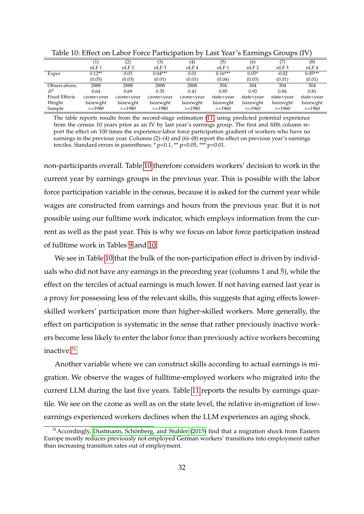|                      |            | (2)              | (3)              | $\left( 4\right)$ | (5)              | (6)              |                  | (8)              |
|----------------------|------------|------------------|------------------|-------------------|------------------|------------------|------------------|------------------|
|                      | nLF1       | nLF <sub>2</sub> | nLF <sub>3</sub> | nLF <sub>4</sub>  | nLF <sub>1</sub> | nLF <sub>2</sub> | nLF <sub>3</sub> | nLF <sub>4</sub> |
| Exper                | $0.12**$   | 0.03             | $0.04***$        | 0.01              | $0.16***$        | $0.05*$          | $-0.02$          | $0.05***$        |
|                      | (0.05)     | (0.03)           | (0.01)           | (0.01)            | (0.04)           | (0.03)           | (0.01)           | (0.01)           |
| Observations         | 2888       | 2888             | 2888             | 2888              | 304              | 304              | 304              | 304              |
| $R^2$                | 0.64       | 0.69             | 0.35             | 0.41              | 0.85             | 0.92             | 0.84             | 0.81             |
| <b>Fixed Effects</b> | czone+year | czone+year       | czone+year       | czone+year        | state+year       | state+year       | state+year       | state+year       |
| Weight               | lsizewght  | lsizewght        | lsizewght        | lsizewght         | lsizewght        | lsizewght        | lsizewght        | lsizewght        |
| Sample               | $>=1980$   | $>=1980$         | $>=1980$         | $>=1980$          | $>=1960$         | $>=1960$         | $>=1960$         | $>=1960$         |

<span id="page-32-0"></span>Table 10: Effect on Labor Force Participation by Last Year's Earnings Groups (IV)

The table reports results from the second-stage estimation [\(11\)](#page-18-1) using predicted potential experience from the census 10 years prior as an IV by last year's earnings group. The first and fifth column report the effect on 100 times the experience-labor force participation gradient of workers who have no earnings in the previous year. Columns  $(2)$ – $(4)$  and  $(6)$ – $(8)$  report the effect on previous year's earnings terciles. Standard errors in parentheses:  $* p < 0.1$ ,  $** p < 0.05$ ,  $** p < 0.01$ .

non-participants overall. Table [10](#page-32-0) therefore considers workers' decision to work in the current year by earnings groups in the previous year. This is possible with the labor force participation variable in the census, because it is asked for the current year while wages are constructed from earnings and hours from the previous year. But it is not possible using our fulltime work indicator, which employs information from the current as well as the past year. This is why we focus on labor force participation instead of fulltime work in Tables [9](#page-31-0) and [10.](#page-32-0)

We see in Table [10](#page-32-0) that the bulk of the non-participation effect is driven by individuals who did not have any earnings in the preceding year (columns 1 and 5), while the effect on the terciles of actual earnings is much lower. If not having earned last year is a proxy for possessing less of the relevant skills, this suggests that aging effects lowerskilled workers' participation more than higher-skilled workers. More generally, the effect on participation is systematic in the sense that rather previously inactive workers become less likely to enter the labor force than previously active workers becoming inactive.<sup>[31](#page-32-1)</sup>

Another variable where we can construct skills according to actual earnings is migration. We observe the wages of fulltime-employed workers who migrated into the current LLM during the last five years. Table [11](#page-33-1) reports the results by earnings quartile. We see on the czone as well as on the state level, the relative in-migration of lowearnings experienced workers declines when the LLM experiences an aging shock.

<span id="page-32-1"></span> $31$  Accordingly, [Dustmann, Schönberg, and Stuhler](#page-39-7) [\(2015\)](#page-39-7) find that a migration shock from Eastern Europe mostly reduces previously not employed German workers' transitions into employment rather than increasing transition rates out of employment.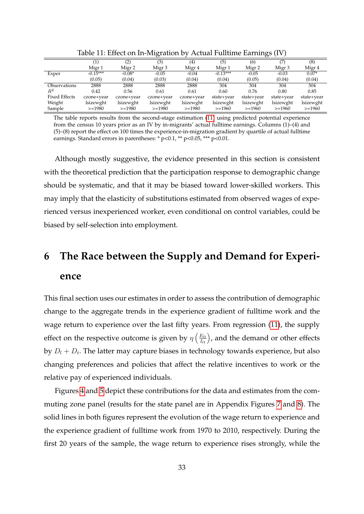|                      |            |            | ້                 |            |            |            |                   |            |
|----------------------|------------|------------|-------------------|------------|------------|------------|-------------------|------------|
|                      |            | (2)        | (3)               | (4)        | (5)        | (6)        | 7)                | (8)        |
|                      | Migr 1     | Migr 2     | Migr <sub>3</sub> | Migr 4     | Migr 1     | Migr 2     | Migr <sub>3</sub> | Migr 4     |
| Exper                | $-0.15***$ | $-0.08*$   | $-0.05$           | $-0.04$    | $-0.13***$ | $-0.05$    | $-0.03$           | $0.07*$    |
|                      | (0.05)     | (0.04)     | (0.03)            | (0.04)     | (0.04)     | (0.05)     | (0.04)            | (0.04)     |
| <b>Observations</b>  | 2888       | 2888       | 2888              | 2888       | 304        | 304        | 304               | 304        |
| $R^2$                | 0.42       | 0.56       | 0.61              | 0.61       | 0.60       | 0.76       | 0.80              | 0.85       |
| <b>Fixed Effects</b> | czone+year | czone+year | czone+year        | czone+year | state+year | state+year | state+year        | state+year |
| Weight               | lsizewght  | lsizewght  | lsizewght         | lsizewght  | lsizewght  | lsizewght  | lsizewght         | lsizewght  |
| Sample               | $>=1980$   | $>=1980$   | $>=1980$          | $>=1980$   | $>=1960$   | $>=1960$   | $>=1960$          | $>=1960$   |

<span id="page-33-1"></span>Table 11: Effect on In-Migration by Actual Fulltime Earnings (IV)

The table reports results from the second-stage estimation [\(11\)](#page-18-1) using predicted potential experience from the census 10 years prior as an IV by in-migrants' actual fulltime earnings. Columns (1)–(4) and (5)–(8) report the effect on 100 times the experience-in-migration gradient by quartile of actual fulltime earnings. Standard errors in parentheses:  $*_{p<0.1}$ ,  $*_{p<0.05}$ ,  $**_{p<0.01}$ .

Although mostly suggestive, the evidence presented in this section is consistent with the theoretical prediction that the participation response to demographic change should be systematic, and that it may be biased toward lower-skilled workers. This may imply that the elasticity of substitutions estimated from observed wages of experienced versus inexperienced worker, even conditional on control variables, could be biased by self-selection into employment.

# <span id="page-33-0"></span>**6 The Race between the Supply and Demand for Experience**

This final section uses our estimates in order to assess the contribution of demographic change to the aggregate trends in the experience gradient of fulltime work and the wage return to experience over the last fifty years. From regression [\(11\)](#page-18-1), the supply effect on the respective outcome is given by  $\eta\left(\frac{E_{lt}}{I_{lt}}\right)$ , and the demand or other effects by *D<sup>l</sup>* + *D<sup>t</sup>* . The latter may capture biases in technology towards experience, but also changing preferences and policies that affect the relative incentives to work or the relative pay of experienced individuals.

Figures [4](#page-34-0) and [5](#page-35-0) depict these contributions for the data and estimates from the commuting zone panel (results for the state panel are in Appendix Figures [7](#page-41-0) and [8\)](#page-41-1). The solid lines in both figures represent the evolution of the wage return to experience and the experience gradient of fulltime work from 1970 to 2010, respectively. During the first 20 years of the sample, the wage return to experience rises strongly, while the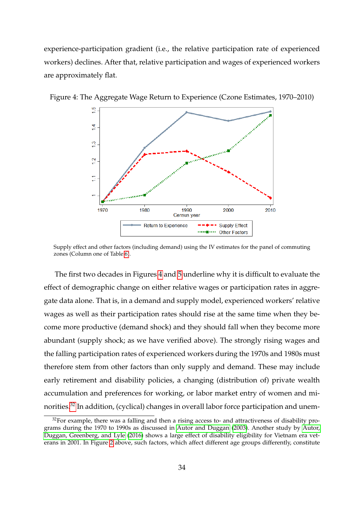experience-participation gradient (i.e., the relative participation rate of experienced workers) declines. After that, relative participation and wages of experienced workers are approximately flat.

<span id="page-34-0"></span>

Figure 4: The Aggregate Wage Return to Experience (Czone Estimates, 1970–2010)

Supply effect and other factors (including demand) using the IV estimates for the panel of commuting zones (Column one of Table [6\)](#page-28-1).

The first two decades in Figures [4](#page-34-0) and [5](#page-35-0) underline why it is difficult to evaluate the effect of demographic change on either relative wages or participation rates in aggregate data alone. That is, in a demand and supply model, experienced workers' relative wages as well as their participation rates should rise at the same time when they become more productive (demand shock) and they should fall when they become more abundant (supply shock; as we have verified above). The strongly rising wages and the falling participation rates of experienced workers during the 1970s and 1980s must therefore stem from other factors than only supply and demand. These may include early retirement and disability policies, a changing (distribution of) private wealth accumulation and preferences for working, or labor market entry of women and mi-norities.<sup>[32](#page-34-1)</sup> In addition, (cyclical) changes in overall labor force participation and unem-

<span id="page-34-1"></span> $32$  For example, there was a falling and then a rising access to- and attractiveness of disability programs during the 1970 to 1990s as discussed in [Autor and Duggan](#page-39-8) [\(2003\)](#page-39-8). Another study by [Autor,](#page-39-9) [Duggan, Greenberg, and Lyle](#page-39-9) [\(2016\)](#page-39-9) shows a large effect of disability eligibility for Vietnam era veterans in 2001. In Figure [2](#page-12-0) above, such factors, which affect different age groups differently, constitute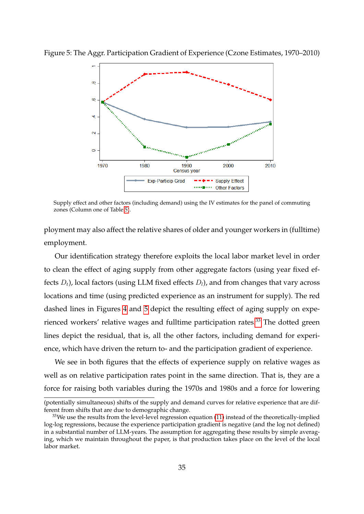<span id="page-35-0"></span>

Figure 5: The Aggr. Participation Gradient of Experience (Czone Estimates, 1970–2010)

Supply effect and other factors (including demand) using the IV estimates for the panel of commuting zones (Column one of Table [5\)](#page-26-0).

ployment may also affect the relative shares of older and younger workers in (fulltime) employment.

Our identification strategy therefore exploits the local labor market level in order to clean the effect of aging supply from other aggregate factors (using year fixed effects *Dt*), local factors (using LLM fixed effects *Dl*), and from changes that vary across locations and time (using predicted experience as an instrument for supply). The red dashed lines in Figures [4](#page-34-0) and [5](#page-35-0) depict the resulting effect of aging supply on expe-rienced workers' relative wages and fulltime participation rates.<sup>[33](#page-35-1)</sup> The dotted green lines depict the residual, that is, all the other factors, including demand for experience, which have driven the return to- and the participation gradient of experience.

We see in both figures that the effects of experience supply on relative wages as well as on relative participation rates point in the same direction. That is, they are a force for raising both variables during the 1970s and 1980s and a force for lowering

<sup>(</sup>potentially simultaneous) shifts of the supply and demand curves for relative experience that are different from shifts that are due to demographic change.

<span id="page-35-1"></span><sup>&</sup>lt;sup>33</sup>We use the results from the level-level regression equation [\(11\)](#page-18-1) instead of the theoretically-implied log-log regressions, because the experience participation gradient is negative (and the log not defined) in a substantial number of LLM-years. The assumption for aggregating these results by simple averaging, which we maintain throughout the paper, is that production takes place on the level of the local labor market.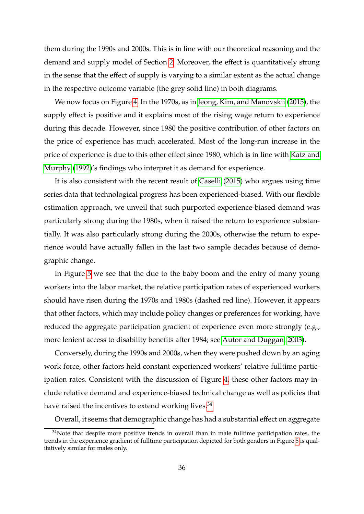them during the 1990s and 2000s. This is in line with our theoretical reasoning and the demand and supply model of Section [2.](#page-6-1) Moreover, the effect is quantitatively strong in the sense that the effect of supply is varying to a similar extent as the actual change in the respective outcome variable (the grey solid line) in both diagrams.

We now focus on Figure [4.](#page-34-0) In the 1970s, as in [Jeong, Kim, and Manovskii](#page-39-1) [\(2015\)](#page-39-1), the supply effect is positive and it explains most of the rising wage return to experience during this decade. However, since 1980 the positive contribution of other factors on the price of experience has much accelerated. Most of the long-run increase in the price of experience is due to this other effect since 1980, which is in line with [Katz and](#page-39-0) [Murphy](#page-39-0) [\(1992\)](#page-39-0)'s findings who interpret it as demand for experience.

It is also consistent with the recent result of [Caselli](#page-39-3) [\(2015\)](#page-39-3) who argues using time series data that technological progress has been experienced-biased. With our flexible estimation approach, we unveil that such purported experience-biased demand was particularly strong during the 1980s, when it raised the return to experience substantially. It was also particularly strong during the 2000s, otherwise the return to experience would have actually fallen in the last two sample decades because of demographic change.

In Figure [5](#page-35-0) we see that the due to the baby boom and the entry of many young workers into the labor market, the relative participation rates of experienced workers should have risen during the 1970s and 1980s (dashed red line). However, it appears that other factors, which may include policy changes or preferences for working, have reduced the aggregate participation gradient of experience even more strongly (e.g., more lenient access to disability benefits after 1984; see [Autor and Duggan, 2003\)](#page-39-8).

Conversely, during the 1990s and 2000s, when they were pushed down by an aging work force, other factors held constant experienced workers' relative fulltime participation rates. Consistent with the discussion of Figure [4,](#page-34-0) these other factors may include relative demand and experience-biased technical change as well as policies that have raised the incentives to extend working lives. $34$ 

<span id="page-36-0"></span>Overall, it seems that demographic change has had a substantial effect on aggregate

 $34$ Note that despite more positive trends in overall than in male fulltime participation rates, the trends in the experience gradient of fulltime participation depicted for both genders in Figure [5](#page-35-0) is qualitatively similar for males only.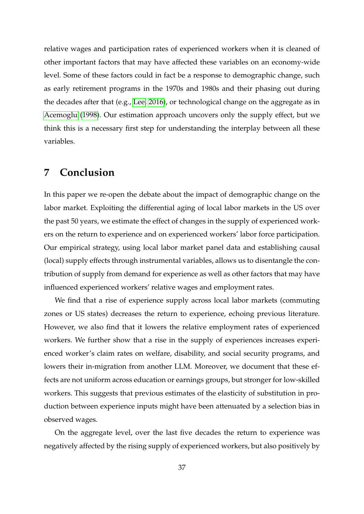relative wages and participation rates of experienced workers when it is cleaned of other important factors that may have affected these variables on an economy-wide level. Some of these factors could in fact be a response to demographic change, such as early retirement programs in the 1970s and 1980s and their phasing out during the decades after that (e.g., [Lee, 2016\)](#page-39-10), or technological change on the aggregate as in [Acemoglu](#page-38-3) [\(1998\)](#page-38-3). Our estimation approach uncovers only the supply effect, but we think this is a necessary first step for understanding the interplay between all these variables.

## **7 Conclusion**

In this paper we re-open the debate about the impact of demographic change on the labor market. Exploiting the differential aging of local labor markets in the US over the past 50 years, we estimate the effect of changes in the supply of experienced workers on the return to experience and on experienced workers' labor force participation. Our empirical strategy, using local labor market panel data and establishing causal (local) supply effects through instrumental variables, allows us to disentangle the contribution of supply from demand for experience as well as other factors that may have influenced experienced workers' relative wages and employment rates.

We find that a rise of experience supply across local labor markets (commuting zones or US states) decreases the return to experience, echoing previous literature. However, we also find that it lowers the relative employment rates of experienced workers. We further show that a rise in the supply of experiences increases experienced worker's claim rates on welfare, disability, and social security programs, and lowers their in-migration from another LLM. Moreover, we document that these effects are not uniform across education or earnings groups, but stronger for low-skilled workers. This suggests that previous estimates of the elasticity of substitution in production between experience inputs might have been attenuated by a selection bias in observed wages.

On the aggregate level, over the last five decades the return to experience was negatively affected by the rising supply of experienced workers, but also positively by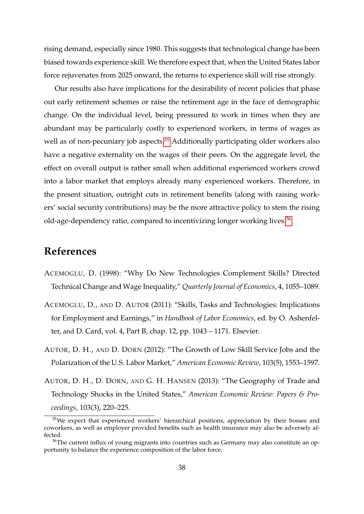rising demand, especially since 1980. This suggests that technological change has been biased towards experience skill. We therefore expect that, when the United States labor force rejuvenates from 2025 onward, the returns to experience skill will rise strongly.

Our results also have implications for the desirability of recent policies that phase out early retirement schemes or raise the retirement age in the face of demographic change. On the individual level, being pressured to work in times when they are abundant may be particularly costly to experienced workers, in terms of wages as well as of non-pecuniary job aspects.<sup>[35](#page-38-4)</sup> Additionally participating older workers also have a negative externality on the wages of their peers. On the aggregate level, the effect on overall output is rather small when additional experienced workers crowd into a labor market that employs already many experienced workers. Therefore, in the present situation, outright cuts in retirement benefits (along with raising workers' social security contributions) may be the more attractive policy to stem the rising old-age-dependency ratio, compared to incentivizing longer working lives.<sup>[36](#page-38-5)</sup>

## **References**

- <span id="page-38-3"></span>ACEMOGLU, D. (1998): "Why Do New Technologies Complement Skills? Directed Technical Change and Wage Inequality," *Quarterly Journal of Economics*, 4, 1055–1089.
- <span id="page-38-2"></span>ACEMOGLU, D., AND D. AUTOR (2011): "Skills, Tasks and Technologies: Implications for Employment and Earnings," in *Handbook of Labor Economics*, ed. by O. Ashenfelter, and D. Card, vol. 4, Part B, chap. 12, pp. 1043 – 1171. Elsevier.
- <span id="page-38-0"></span>AUTOR, D. H., AND D. DORN (2012): "The Growth of Low Skill Service Jobs and the Polarization of the U.S. Labor Market," *American Economic Review*, 103(5), 1553–1597.
- <span id="page-38-1"></span>AUTOR, D. H., D. DORN, AND G. H. HANSEN (2013): "The Geography of Trade and Technology Shocks in the United States," *American Economic Review: Papers & Proceedings*, 103(3), 220–225.

<span id="page-38-4"></span><sup>&</sup>lt;sup>35</sup>We expect that experienced workers' hierarchical positions, appreciation by their bosses and coworkers, as well as employer provided benefits such as health insurance may also be adversely affected.

<span id="page-38-5"></span><sup>&</sup>lt;sup>36</sup>The current influx of young migrants into countries such as Germany may also constitute an opportunity to balance the experience composition of the labor force.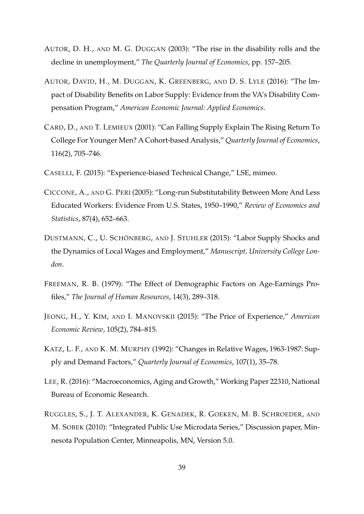- <span id="page-39-8"></span>AUTOR, D. H., AND M. G. DUGGAN (2003): "The rise in the disability rolls and the decline in unemployment," *The Quarterly Journal of Economics*, pp. 157–205.
- <span id="page-39-9"></span>AUTOR, DAVID, H., M. DUGGAN, K. GREENBERG, AND D. S. LYLE (2016): "The Impact of Disability Benefits on Labor Supply: Evidence from the VA's Disability Compensation Program," *American Economic Journal: Applied Economics*.
- <span id="page-39-4"></span>CARD, D., AND T. LEMIEUX (2001): "Can Falling Supply Explain The Rising Return To College For Younger Men? A Cohort-based Analysis," *Quarterly Journal of Economics*, 116(2), 705–746.
- <span id="page-39-3"></span>CASELLI, F. (2015): "Experience-biased Technical Change," LSE, mimeo.
- <span id="page-39-5"></span>CICCONE, A., AND G. PERI (2005): "Long-run Substitutability Between More And Less Educated Workers: Evidence From U.S. States, 1950–1990," *Review of Economics and Statistics*, 87(4), 652–663.
- <span id="page-39-7"></span>DUSTMANN, C., U. SCHÖNBERG, AND J. STUHLER (2015): "Labor Supply Shocks and the Dynamics of Local Wages and Employment," *Manuscript, University College London*.
- <span id="page-39-2"></span>FREEMAN, R. B. (1979): "The Effect of Demographic Factors on Age-Earnings Profiles," *The Journal of Human Resources*, 14(3), 289–318.
- <span id="page-39-1"></span>JEONG, H., Y. KIM, AND I. MANOVSKII (2015): "The Price of Experience," *American Economic Review*, 105(2), 784–815.
- <span id="page-39-0"></span>KATZ, L. F., AND K. M. MURPHY (1992): "Changes in Relative Wages, 1963-1987: Supply and Demand Factors," *Quarterly Journal of Economics*, 107(1), 35–78.
- <span id="page-39-10"></span>LEE, R. (2016): "Macroeconomics, Aging and Growth," Working Paper 22310, National Bureau of Economic Research.
- <span id="page-39-6"></span>RUGGLES, S., J. T. ALEXANDER, K. GENADEK, R. GOEKEN, M. B. SCHROEDER, AND M. SOBEK (2010): "Integrated Public Use Microdata Series," Discussion paper, Minnesota Population Center, Minneapolis, MN, Version 5.0.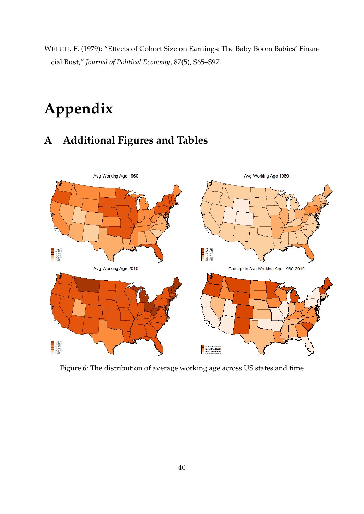<span id="page-40-0"></span>WELCH, F. (1979): "Effects of Cohort Size on Earnings: The Baby Boom Babies' Financial Bust," *Journal of Political Economy*, 87(5), S65–S97.

# **Appendix**

## **A Additional Figures and Tables**



<span id="page-40-1"></span>Figure 6: The distribution of average working age across US states and time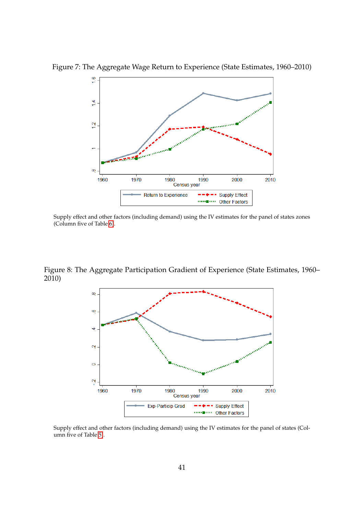<span id="page-41-0"></span>

Figure 7: The Aggregate Wage Return to Experience (State Estimates, 1960–2010)

Supply effect and other factors (including demand) using the IV estimates for the panel of states zones (Column five of Table [6\)](#page-28-1).

Figure 8: The Aggregate Participation Gradient of Experience (State Estimates, 1960– 2010)

<span id="page-41-1"></span>

Supply effect and other factors (including demand) using the IV estimates for the panel of states (Column five of Table [5\)](#page-26-0).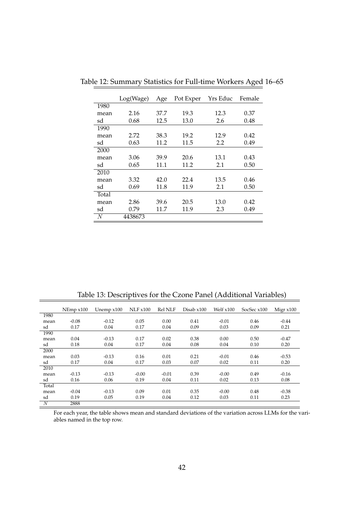<span id="page-42-0"></span>

|       | Log(Wage) | Age  | Pot Exper | Yrs Educ | Female |
|-------|-----------|------|-----------|----------|--------|
| 1980  |           |      |           |          |        |
| mean  | 2.16      | 37.7 | 19.3      | 12.3     | 0.37   |
| sd    | 0.68      | 12.5 | 13.0      | 2.6      | 0.48   |
| 1990  |           |      |           |          |        |
| mean  | 2.72      | 38.3 | 19.2      | 12.9     | 0.42   |
| sd    | 0.63      | 11.2 | 11.5      | 2.2      | 0.49   |
| 2000  |           |      |           |          |        |
| mean  | 3.06      | 39.9 | 20.6      | 13.1     | 0.43   |
| sd    | 0.65      | 11.1 | 11.2      | 2.1      | 0.50   |
| 2010  |           |      |           |          |        |
| mean  | 3.32      | 42.0 | 22.4      | 13.5     | 0.46   |
| sd    | 0.69      | 11.8 | 11.9      | 2.1      | 0.50   |
| Total |           |      |           |          |        |
| mean  | 2.86      | 39.6 | 20.5      | 13.0     | 0.42   |
| sd    | 0.79      | 11.7 | 11.9      | 2.3      | 0.49   |
| N     | 4438673   |      |           |          |        |

Table 12: Summary Statistics for Full-time Workers Aged 16–65

<span id="page-42-1"></span>Table 13: Descriptives for the Czone Panel (Additional Variables)

|       | NEmp x100 | Unemp $x100$ | NLF x100 | <b>Rel NLF</b> | Disab x100 | Welf $x100$ | SocSec x100 | Migr $x100$ |
|-------|-----------|--------------|----------|----------------|------------|-------------|-------------|-------------|
|       |           |              |          |                |            |             |             |             |
| 1980  |           |              |          |                |            |             |             |             |
| mean  | $-0.08$   | $-0.12$      | 0.05     | 0.00           | 0.41       | $-0.01$     | 0.46        | $-0.44$     |
| sd    | 0.17      | 0.04         | 0.17     | 0.04           | 0.09       | 0.03        | 0.09        | 0.21        |
| 1990  |           |              |          |                |            |             |             |             |
| mean  | 0.04      | $-0.13$      | 0.17     | 0.02           | 0.38       | 0.00        | 0.50        | $-0.47$     |
| sd    | 0.18      | 0.04         | 0.17     | 0.04           | 0.08       | 0.04        | 0.10        | 0.20        |
| 2000  |           |              |          |                |            |             |             |             |
| mean  | 0.03      | $-0.13$      | 0.16     | 0.01           | 0.21       | $-0.01$     | 0.46        | $-0.53$     |
| sd    | 0.17      | 0.04         | 0.17     | 0.03           | 0.07       | 0.02        | 0.11        | 0.20        |
| 2010  |           |              |          |                |            |             |             |             |
| mean  | $-0.13$   | $-0.13$      | $-0.00$  | $-0.01$        | 0.39       | $-0.00$     | 0.49        | $-0.16$     |
| sd    | 0.16      | 0.06         | 0.19     | 0.04           | 0.11       | 0.02        | 0.13        | 0.08        |
| Total |           |              |          |                |            |             |             |             |
| mean  | $-0.04$   | $-0.13$      | 0.09     | 0.01           | 0.35       | $-0.00$     | 0.48        | $-0.38$     |
| sd    | 0.19      | 0.05         | 0.19     | 0.04           | 0.12       | 0.03        | 0.11        | 0.23        |
| N     | 2888      |              |          |                |            |             |             |             |

For each year, the table shows mean and standard deviations of the variation across LLMs for the variables named in the top row.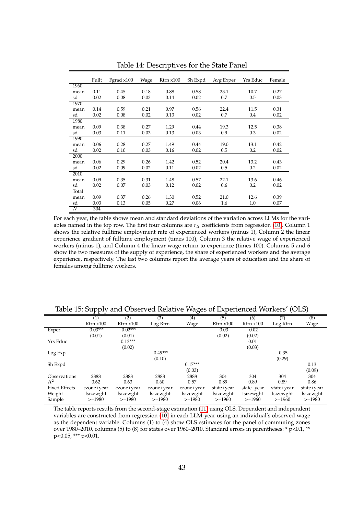|                  | Fullt | Fgrad $x100$ | Wage | $R$ trn $x100$ | Sh Expd | Avg Exper | Yrs Educ | Female |
|------------------|-------|--------------|------|----------------|---------|-----------|----------|--------|
| 1960             |       |              |      |                |         |           |          |        |
|                  | 0.11  | 0.45         | 0.18 | 0.88           | 0.58    | 23.1      | 10.7     | 0.27   |
| mean             |       |              |      |                |         |           |          |        |
| sd               | 0.02  | 0.08         | 0.03 | 0.14           | 0.02    | 0.7       | 0.5      | 0.03   |
| 1970             |       |              |      |                |         |           |          |        |
| mean             | 0.14  | 0.59         | 0.21 | 0.97           | 0.56    | 22.4      | 11.5     | 0.31   |
| sd               | 0.02  | 0.08         | 0.02 | 0.13           | 0.02    | 0.7       | 0.4      | 0.02   |
| 1980             |       |              |      |                |         |           |          |        |
| mean             | 0.09  | 0.38         | 0.27 | 1.29           | 0.44    | 19.3      | 12.5     | 0.38   |
| sd               | 0.03  | 0.11         | 0.03 | 0.13           | 0.03    | 0.9       | 0.3      | 0.02   |
| 1990             |       |              |      |                |         |           |          |        |
| mean             | 0.06  | 0.28         | 0.27 | 1.49           | 0.44    | 19.0      | 13.1     | 0.42   |
| sd               | 0.02  | 0.10         | 0.03 | 0.16           | 0.02    | 0.5       | 0.2      | 0.02   |
| 2000             |       |              |      |                |         |           |          |        |
| mean             | 0.06  | 0.29         | 0.26 | 1.42           | 0.52    | 20.4      | 13.2     | 0.43   |
| sd               | 0.02  | 0.09         | 0.02 | 0.11           | 0.02    | 0.5       | 0.2      | 0.02   |
| 2010             |       |              |      |                |         |           |          |        |
| mean             | 0.09  | 0.35         | 0.31 | 1.48           | 0.57    | 22.1      | 13.6     | 0.46   |
| sd               | 0.02  | 0.07         | 0.03 | 0.12           | 0.02    | 0.6       | 0.2      | 0.02   |
| Total            |       |              |      |                |         |           |          |        |
| mean             | 0.09  | 0.37         | 0.26 | 1.30           | 0.52    | 21.0      | 12.6     | 0.39   |
| sd               | 0.03  | 0.13         | 0.05 | 0.27           | 0.06    | 1.6       | 1.0      | 0.07   |
| $\boldsymbol{N}$ | 304   |              |      |                |         |           |          |        |

<span id="page-43-0"></span>Table 14: Descriptives for the State Panel

For each year, the table shows mean and standard deviations of the variation across LLMs for the variables named in the top row. The first four columns are *rlt* coefficients from regression [\(10\)](#page-16-2). Column 1 shows the relative fulltime employment rate of experienced workers (minus 1), Column 2 the linear experience gradient of fulltime employment (times 100), Column 3 the relative wage of experienced workers (minus 1), and Column 4 the linear wage return to experience (times 100). Columns 5 and 6 show the two measures of the supply of experience, the share of experienced workers and the average experience, respectively. The last two columns report the average years of education and the share of females among fulltime workers.

|                      | <u>.</u>       |                |            | $\check{ }$ |                |                |            |            |
|----------------------|----------------|----------------|------------|-------------|----------------|----------------|------------|------------|
|                      | (1)            | (2)            | (3)        | (4)         | (5)            | (6)            | (7)        | (8)        |
|                      | $R$ trn $x100$ | $R$ trn $x100$ | Log Rtrn   | Wage        | $R$ trn $x100$ | $R$ trn $x100$ | Log Rtrn   | Wage       |
| Exper                | $-0.03***$     | $-0.02***$     |            |             | $-0.03$        | $-0.02$        |            |            |
|                      | (0.01)         | (0.01)         |            |             | (0.02)         | (0.02)         |            |            |
| Yrs Educ             |                | $0.13***$      |            |             |                | 0.01           |            |            |
|                      |                | (0.02)         |            |             |                | (0.03)         |            |            |
| Log Exp              |                |                | $-0.49***$ |             |                |                | $-0.35$    |            |
|                      |                |                | (0.10)     |             |                |                | (0.29)     |            |
| Sh Expd              |                |                |            | $0.17***$   |                |                |            | 0.13       |
|                      |                |                |            | (0.03)      |                |                |            | (0.09)     |
| Observations         | 2888           | 2888           | 2888       | 2888        | 304            | 304            | 304        | 304        |
| $\mathbb{R}^2$       | 0.62           | 0.63           | 0.60       | 0.57        | 0.89           | 0.89           | 0.89       | 0.86       |
| <b>Fixed Effects</b> | czone+year     | czone+year     | czone+year | czone+year  | state+year     | state+year     | state+year | state+year |
| Weight               | lsizewght      | lsizewght      | lsizewght  | lsizewght   | lsizewght      | lsizewght      | lsizewght  | lsizewght  |
| Sample               | $>=1980$       | $>=1980$       | $>=1980$   | $>=1980$    | $>=1960$       | $>=1960$       | $>=1960$   | $>=1980$   |

<span id="page-43-1"></span>Table 15: Supply and Observed Relative Wages of Experienced Workers' (OLS)

The table reports results from the second-stage estimation [\(11\)](#page-18-1) using OLS. Dependent and independent variables are constructed from regression [\(10\)](#page-16-2) in each LLM-year using an individual's observed wage as the dependent variable. Columns (1) to (4) show OLS estimates for the panel of commuting zones over 1980–2010, columns (5) to (8) for states over 1960–2010. Standard errors in parentheses: \* p<0.1, \*\* p<0.05, \*\*\* p<0.01.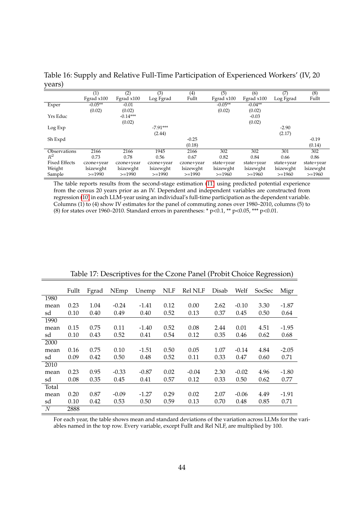<span id="page-44-0"></span>Table 16: Supply and Relative Full-Time Participation of Experienced Workers' (IV, 20 years)

|                      | (1)        | (2)          | (3)        | (4)        | (5)          | (6)        | (7)        | (8)        |
|----------------------|------------|--------------|------------|------------|--------------|------------|------------|------------|
|                      | Fgrad x100 | Fgrad $x100$ | Log Fgrad  | Fullt      | Fgrad $x100$ | Fgrad x100 | Log Fgrad  | Fullt      |
| Exper                | $-0.05**$  | $-0.01$      |            |            | $-0.05**$    | $-0.04**$  |            |            |
|                      | (0.02)     | (0.02)       |            |            | (0.02)       | (0.02)     |            |            |
| Yrs Educ             |            | $-0.14***$   |            |            |              | $-0.03$    |            |            |
|                      |            | (0.02)       |            |            |              | (0.02)     |            |            |
| Log Exp              |            |              | $-7.91***$ |            |              |            | $-2.90$    |            |
|                      |            |              | (2.44)     |            |              |            | (2.17)     |            |
| Sh Expd              |            |              |            | $-0.25$    |              |            |            | $-0.19$    |
|                      |            |              |            | (0.18)     |              |            |            | (0.14)     |
| Observations         | 2166       | 2166         | 1945       | 2166       | 302          | 302        | 301        | 302        |
| $R^2$                | 0.73       | 0.78         | 0.56       | 0.67       | 0.82         | 0.84       | 0.66       | 0.86       |
| <b>Fixed Effects</b> | czone+year | czone+year   | czone+year | czone+year | state+year   | state+year | state+year | state+year |
| Weight               | lsizewght  | lsizewght    | lsizewght  | lsizewght  | lsizewght    | lsizewght  | lsizewght  | lsizewght  |
| Sample               | $>=1990$   | $>=1990$     | $>=1990$   | $>=1990$   | $>=1960$     | $>=1960$   | $>=1960$   | $>=1960$   |

The table reports results from the second-stage estimation [\(11\)](#page-18-1) using predicted potential experience from the census 20 years prior as an IV. Dependent and independent variables are constructed from regression [\(10\)](#page-16-2) in each LLM-year using an individual's full-time participation as the dependent variable. Columns (1) to (4) show IV estimates for the panel of commuting zones over 1980–2010, columns (5) to (8) for states over 1960–2010. Standard errors in parentheses: \*  $p<0.1$ , \*\*  $p<0.05$ , \*\*\*  $p<0.01$ .

|       | Fullt | Fgrad | NEmp    | Unemp   | <b>NLF</b> | <b>Rel NLF</b> | Disab | Welf    | SocSec | Migr    |
|-------|-------|-------|---------|---------|------------|----------------|-------|---------|--------|---------|
| 1980  |       |       |         |         |            |                |       |         |        |         |
| mean  | 0.23  | 1.04  | $-0.24$ | -1.41   | 0.12       | 0.00           | 2.62  | $-0.10$ | 3.30   | $-1.87$ |
| sd    | 0.10  | 0.40  | 0.49    | 0.40    | 0.52       | 0.13           | 0.37  | 0.45    | 0.50   | 0.64    |
| 1990  |       |       |         |         |            |                |       |         |        |         |
| mean  | 0.15  | 0.75  | 0.11    | $-1.40$ | 0.52       | 0.08           | 2.44  | 0.01    | 4.51   | $-1.95$ |
| sd    | 0.10  | 0.43  | 0.52    | 0.41    | 0.54       | 0.12           | 0.35  | 0.46    | 0.62   | 0.68    |
| 2000  |       |       |         |         |            |                |       |         |        |         |
| mean  | 0.16  | 0.75  | 0.10    | $-1.51$ | 0.50       | 0.05           | 1.07  | $-0.14$ | 4.84   | $-2.05$ |
| sd    | 0.09  | 0.42  | 0.50    | 0.48    | 0.52       | 0.11           | 0.33  | 0.47    | 0.60   | 0.71    |
| 2010  |       |       |         |         |            |                |       |         |        |         |
| mean  | 0.23  | 0.95  | $-0.33$ | $-0.87$ | 0.02       | $-0.04$        | 2.30  | $-0.02$ | 4.96   | $-1.80$ |
| sd    | 0.08  | 0.35  | 0.45    | 0.41    | 0.57       | 0.12           | 0.33  | 0.50    | 0.62   | 0.77    |
| Total |       |       |         |         |            |                |       |         |        |         |
| mean  | 0.20  | 0.87  | $-0.09$ | $-1.27$ | 0.29       | 0.02           | 2.07  | $-0.06$ | 4.49   | $-1.91$ |
| sd    | 0.10  | 0.42  | 0.53    | 0.50    | 0.59       | 0.13           | 0.70  | 0.48    | 0.85   | 0.71    |
| N     | 2888  |       |         |         |            |                |       |         |        |         |

<span id="page-44-1"></span>Table 17: Descriptives for the Czone Panel (Probit Choice Regression)

For each year, the table shows mean and standard deviations of the variation across LLMs for the variables named in the top row. Every variable, except Fullt and Rel NLF, are multiplied by 100.